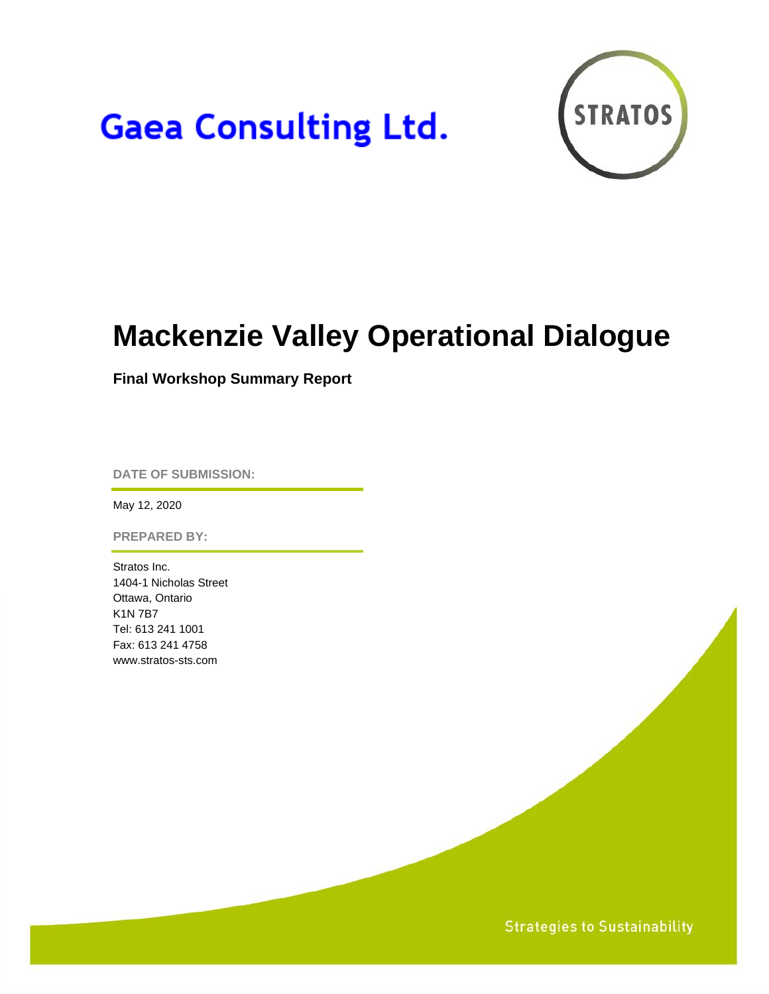# **Gaea Consulting Ltd.**



## **Mackenzie Valley Operational Dialogue**

**Final Workshop Summary Report**

**DATE OF SUBMISSION:**

May 12, 2020

**PREPARED BY:**

Stratos Inc. 1404-1 Nicholas Street Ottawa, Ontario K1N 7B7 Tel: 613 241 1001 Fax: 613 241 4758 www.stratos-sts.com

**Strategies to Sustainability**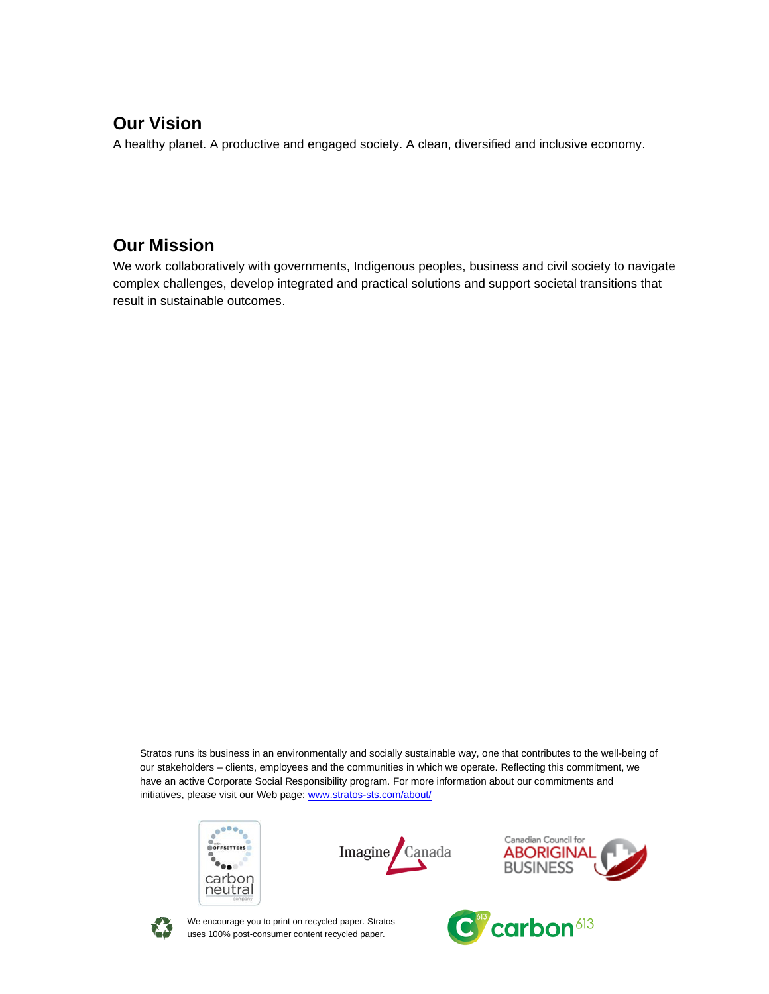### **Our Vision**

A healthy planet. A productive and engaged society. A clean, diversified and inclusive economy.

### **Our Mission**

We work collaboratively with governments, Indigenous peoples, business and civil society to navigate complex challenges, develop integrated and practical solutions and support societal transitions that result in sustainable outcomes.

Stratos runs its business in an environmentally and socially sustainable way, one that contributes to the well-being of our stakeholders – clients, employees and the communities in which we operate. Reflecting this commitment, we have an active Corporate Social Responsibility program. For more information about our commitments and initiatives, please visit our Web page: [www.stratos-sts.com/about/](http://www.stratos-sts.com/about/)









We encourage you to print on recycled paper. Stratos uses 100% post-consumer content recycled paper.

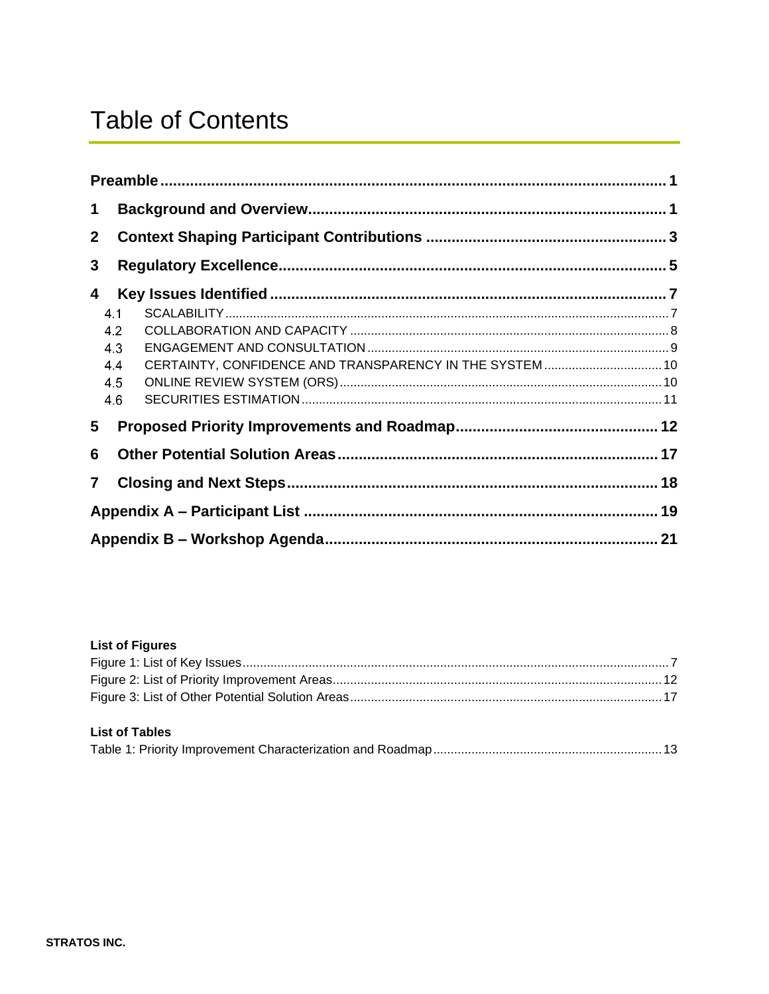## **Table of Contents**

| $\mathbf 1$    |                                        |                                                          |  |  |  |  |
|----------------|----------------------------------------|----------------------------------------------------------|--|--|--|--|
| 2 <sup>1</sup> |                                        |                                                          |  |  |  |  |
| 3              |                                        |                                                          |  |  |  |  |
| 4              |                                        |                                                          |  |  |  |  |
|                | 4.1<br>4.2<br>4.3<br>4.4<br>4.5<br>4.6 | CERTAINTY, CONFIDENCE AND TRANSPARENCY IN THE SYSTEM  10 |  |  |  |  |
| 5              |                                        |                                                          |  |  |  |  |
| 6              |                                        |                                                          |  |  |  |  |
| $\overline{7}$ |                                        |                                                          |  |  |  |  |
|                |                                        |                                                          |  |  |  |  |
|                |                                        |                                                          |  |  |  |  |

#### **List of Figures**

| <b>List of Tables</b> |  |
|-----------------------|--|
|                       |  |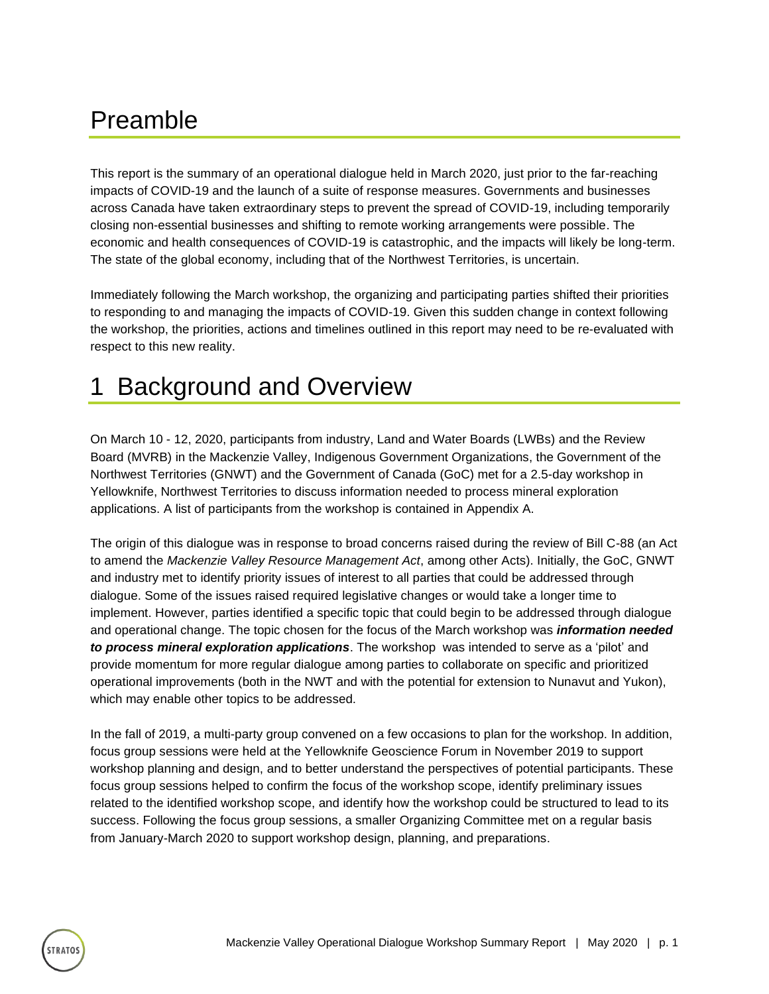### <span id="page-3-0"></span>Preamble

TRATO:

This report is the summary of an operational dialogue held in March 2020, just prior to the far-reaching impacts of COVID-19 and the launch of a suite of response measures. Governments and businesses across Canada have taken extraordinary steps to prevent the spread of COVID-19, including temporarily closing non-essential businesses and shifting to remote working arrangements were possible. The economic and health consequences of COVID-19 is catastrophic, and the impacts will likely be long-term. The state of the global economy, including that of the Northwest Territories, is uncertain.

Immediately following the March workshop, the organizing and participating parties shifted their priorities to responding to and managing the impacts of COVID-19. Given this sudden change in context following the workshop, the priorities, actions and timelines outlined in this report may need to be re-evaluated with respect to this new reality.

### <span id="page-3-1"></span>1 Background and Overview

On March 10 - 12, 2020, participants from industry, Land and Water Boards (LWBs) and the Review Board (MVRB) in the Mackenzie Valley, Indigenous Government Organizations, the Government of the Northwest Territories (GNWT) and the Government of Canada (GoC) met for a 2.5-day workshop in Yellowknife, Northwest Territories to discuss information needed to process mineral exploration applications. A list of participants from the workshop is contained in Appendix A.

The origin of this dialogue was in response to broad concerns raised during the review of Bill C-88 (an Act to amend the *Mackenzie Valley Resource Management Act*, among other Acts). Initially, the GoC, GNWT and industry met to identify priority issues of interest to all parties that could be addressed through dialogue. Some of the issues raised required legislative changes or would take a longer time to implement. However, parties identified a specific topic that could begin to be addressed through dialogue and operational change. The topic chosen for the focus of the March workshop was *information needed to process mineral exploration applications*. The workshop was intended to serve as a 'pilot' and provide momentum for more regular dialogue among parties to collaborate on specific and prioritized operational improvements (both in the NWT and with the potential for extension to Nunavut and Yukon), which may enable other topics to be addressed.

In the fall of 2019, a multi-party group convened on a few occasions to plan for the workshop. In addition, focus group sessions were held at the Yellowknife Geoscience Forum in November 2019 to support workshop planning and design, and to better understand the perspectives of potential participants. These focus group sessions helped to confirm the focus of the workshop scope, identify preliminary issues related to the identified workshop scope, and identify how the workshop could be structured to lead to its success. Following the focus group sessions, a smaller Organizing Committee met on a regular basis from January-March 2020 to support workshop design, planning, and preparations.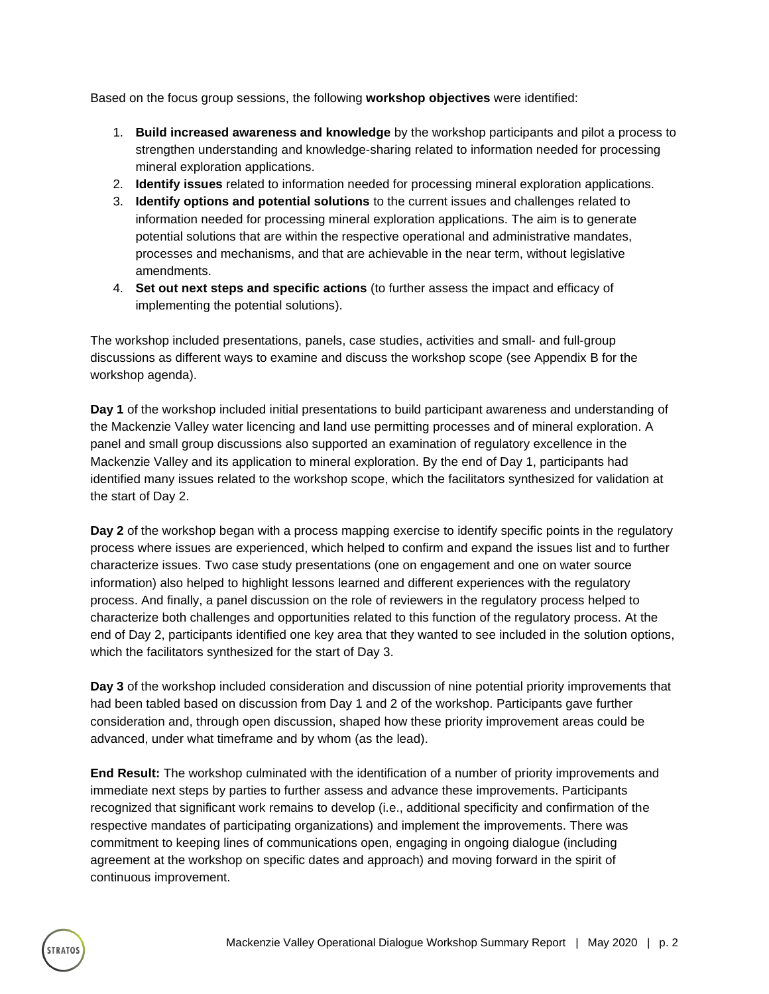Based on the focus group sessions, the following **workshop objectives** were identified:

- 1. **Build increased awareness and knowledge** by the workshop participants and pilot a process to strengthen understanding and knowledge-sharing related to information needed for processing mineral exploration applications.
- 2. **Identify issues** related to information needed for processing mineral exploration applications.
- 3. **Identify options and potential solutions** to the current issues and challenges related to information needed for processing mineral exploration applications. The aim is to generate potential solutions that are within the respective operational and administrative mandates, processes and mechanisms, and that are achievable in the near term, without legislative amendments.
- 4. **Set out next steps and specific actions** (to further assess the impact and efficacy of implementing the potential solutions).

The workshop included presentations, panels, case studies, activities and small- and full-group discussions as different ways to examine and discuss the workshop scope (see Appendix B for the workshop agenda).

**Day 1** of the workshop included initial presentations to build participant awareness and understanding of the Mackenzie Valley water licencing and land use permitting processes and of mineral exploration. A panel and small group discussions also supported an examination of regulatory excellence in the Mackenzie Valley and its application to mineral exploration. By the end of Day 1, participants had identified many issues related to the workshop scope, which the facilitators synthesized for validation at the start of Day 2.

**Day 2** of the workshop began with a process mapping exercise to identify specific points in the regulatory process where issues are experienced, which helped to confirm and expand the issues list and to further characterize issues. Two case study presentations (one on engagement and one on water source information) also helped to highlight lessons learned and different experiences with the regulatory process. And finally, a panel discussion on the role of reviewers in the regulatory process helped to characterize both challenges and opportunities related to this function of the regulatory process. At the end of Day 2, participants identified one key area that they wanted to see included in the solution options, which the facilitators synthesized for the start of Day 3.

**Day 3** of the workshop included consideration and discussion of nine potential priority improvements that had been tabled based on discussion from Day 1 and 2 of the workshop. Participants gave further consideration and, through open discussion, shaped how these priority improvement areas could be advanced, under what timeframe and by whom (as the lead).

**End Result:** The workshop culminated with the identification of a number of priority improvements and immediate next steps by parties to further assess and advance these improvements. Participants recognized that significant work remains to develop (i.e., additional specificity and confirmation of the respective mandates of participating organizations) and implement the improvements. There was commitment to keeping lines of communications open, engaging in ongoing dialogue (including agreement at the workshop on specific dates and approach) and moving forward in the spirit of continuous improvement.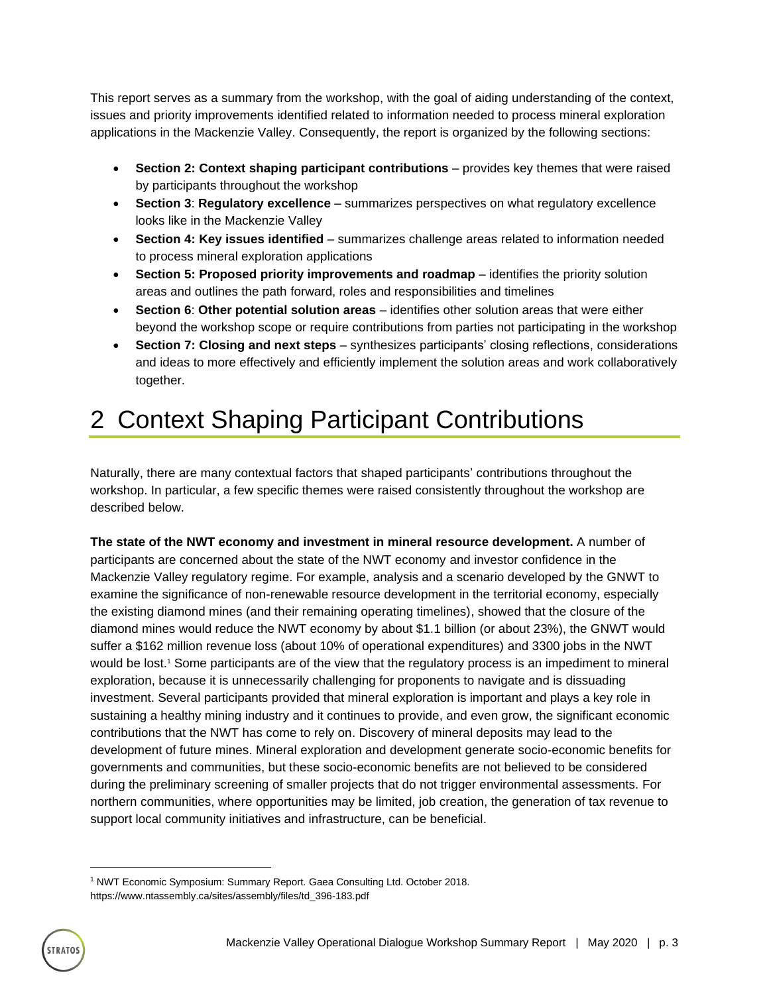This report serves as a summary from the workshop, with the goal of aiding understanding of the context, issues and priority improvements identified related to information needed to process mineral exploration applications in the Mackenzie Valley. Consequently, the report is organized by the following sections:

- **Section 2: Context shaping participant contributions** provides key themes that were raised by participants throughout the workshop
- **Section 3**: **Regulatory excellence** summarizes perspectives on what regulatory excellence looks like in the Mackenzie Valley
- **Section 4: Key issues identified**  summarizes challenge areas related to information needed to process mineral exploration applications
- **Section 5: Proposed priority improvements and roadmap** identifies the priority solution areas and outlines the path forward, roles and responsibilities and timelines
- **Section 6**: **Other potential solution areas** identifies other solution areas that were either beyond the workshop scope or require contributions from parties not participating in the workshop
- **Section 7: Closing and next steps** synthesizes participants' closing reflections, considerations and ideas to more effectively and efficiently implement the solution areas and work collaboratively together.

## <span id="page-5-0"></span>2 Context Shaping Participant Contributions

Naturally, there are many contextual factors that shaped participants' contributions throughout the workshop. In particular, a few specific themes were raised consistently throughout the workshop are described below.

**The state of the NWT economy and investment in mineral resource development.** A number of participants are concerned about the state of the NWT economy and investor confidence in the Mackenzie Valley regulatory regime. For example, analysis and a scenario developed by the GNWT to examine the significance of non-renewable resource development in the territorial economy, especially the existing diamond mines (and their remaining operating timelines), showed that the closure of the diamond mines would reduce the NWT economy by about \$1.1 billion (or about 23%), the GNWT would suffer a \$162 million revenue loss (about 10% of operational expenditures) and 3300 jobs in the NWT would be lost. <sup>1</sup> Some participants are of the view that the regulatory process is an impediment to mineral exploration, because it is unnecessarily challenging for proponents to navigate and is dissuading investment. Several participants provided that mineral exploration is important and plays a key role in sustaining a healthy mining industry and it continues to provide, and even grow, the significant economic contributions that the NWT has come to rely on. Discovery of mineral deposits may lead to the development of future mines. Mineral exploration and development generate socio-economic benefits for governments and communities, but these socio-economic benefits are not believed to be considered during the preliminary screening of smaller projects that do not trigger environmental assessments. For northern communities, where opportunities may be limited, job creation, the generation of tax revenue to support local community initiatives and infrastructure, can be beneficial.

<sup>&</sup>lt;sup>1</sup> NWT Economic Symposium: Summary Report. Gaea Consulting Ltd. October 2018. https://www.ntassembly.ca/sites/assembly/files/td\_396-183.pdf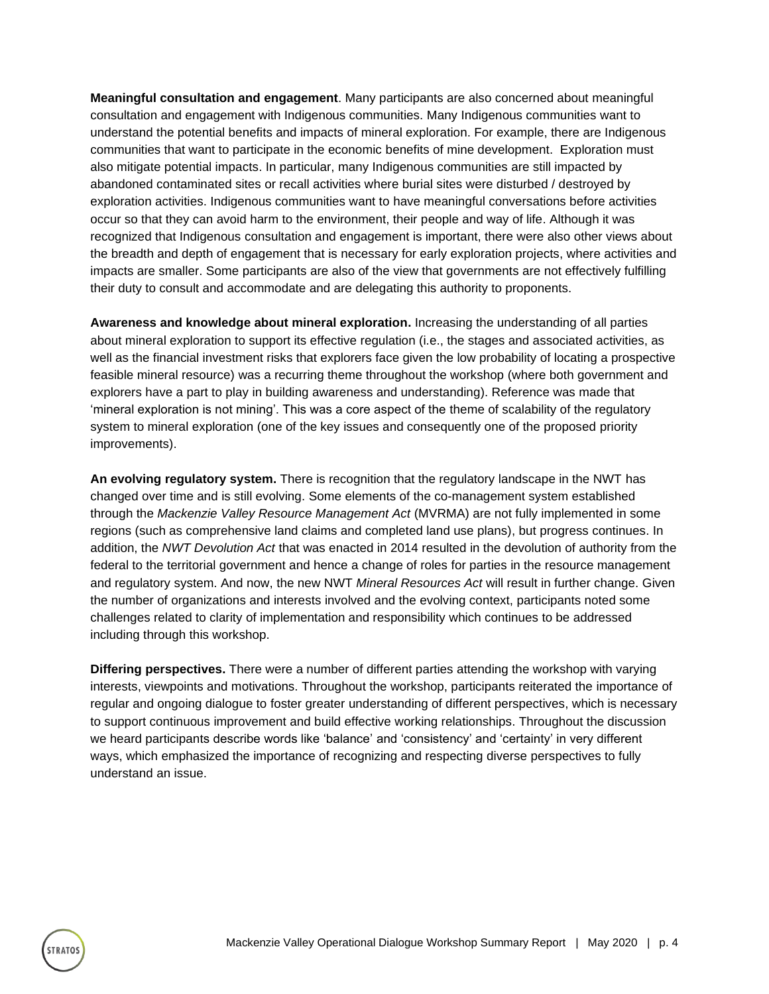**Meaningful consultation and engagement**. Many participants are also concerned about meaningful consultation and engagement with Indigenous communities. Many Indigenous communities want to understand the potential benefits and impacts of mineral exploration. For example, there are Indigenous communities that want to participate in the economic benefits of mine development. Exploration must also mitigate potential impacts. In particular, many Indigenous communities are still impacted by abandoned contaminated sites or recall activities where burial sites were disturbed / destroyed by exploration activities. Indigenous communities want to have meaningful conversations before activities occur so that they can avoid harm to the environment, their people and way of life. Although it was recognized that Indigenous consultation and engagement is important, there were also other views about the breadth and depth of engagement that is necessary for early exploration projects, where activities and impacts are smaller. Some participants are also of the view that governments are not effectively fulfilling their duty to consult and accommodate and are delegating this authority to proponents.

**Awareness and knowledge about mineral exploration.** Increasing the understanding of all parties about mineral exploration to support its effective regulation (i.e., the stages and associated activities, as well as the financial investment risks that explorers face given the low probability of locating a prospective feasible mineral resource) was a recurring theme throughout the workshop (where both government and explorers have a part to play in building awareness and understanding). Reference was made that 'mineral exploration is not mining'. This was a core aspect of the theme of scalability of the regulatory system to mineral exploration (one of the key issues and consequently one of the proposed priority improvements).

**An evolving regulatory system.** There is recognition that the regulatory landscape in the NWT has changed over time and is still evolving. Some elements of the co-management system established through the *Mackenzie Valley Resource Management Act* (MVRMA) are not fully implemented in some regions (such as comprehensive land claims and completed land use plans), but progress continues. In addition, the *NWT Devolution Act* that was enacted in 2014 resulted in the devolution of authority from the federal to the territorial government and hence a change of roles for parties in the resource management and regulatory system. And now, the new NWT *Mineral Resources Act* will result in further change. Given the number of organizations and interests involved and the evolving context, participants noted some challenges related to clarity of implementation and responsibility which continues to be addressed including through this workshop.

**Differing perspectives.** There were a number of different parties attending the workshop with varying interests, viewpoints and motivations. Throughout the workshop, participants reiterated the importance of regular and ongoing dialogue to foster greater understanding of different perspectives, which is necessary to support continuous improvement and build effective working relationships. Throughout the discussion we heard participants describe words like 'balance' and 'consistency' and 'certainty' in very different ways, which emphasized the importance of recognizing and respecting diverse perspectives to fully understand an issue.

**TRATOS**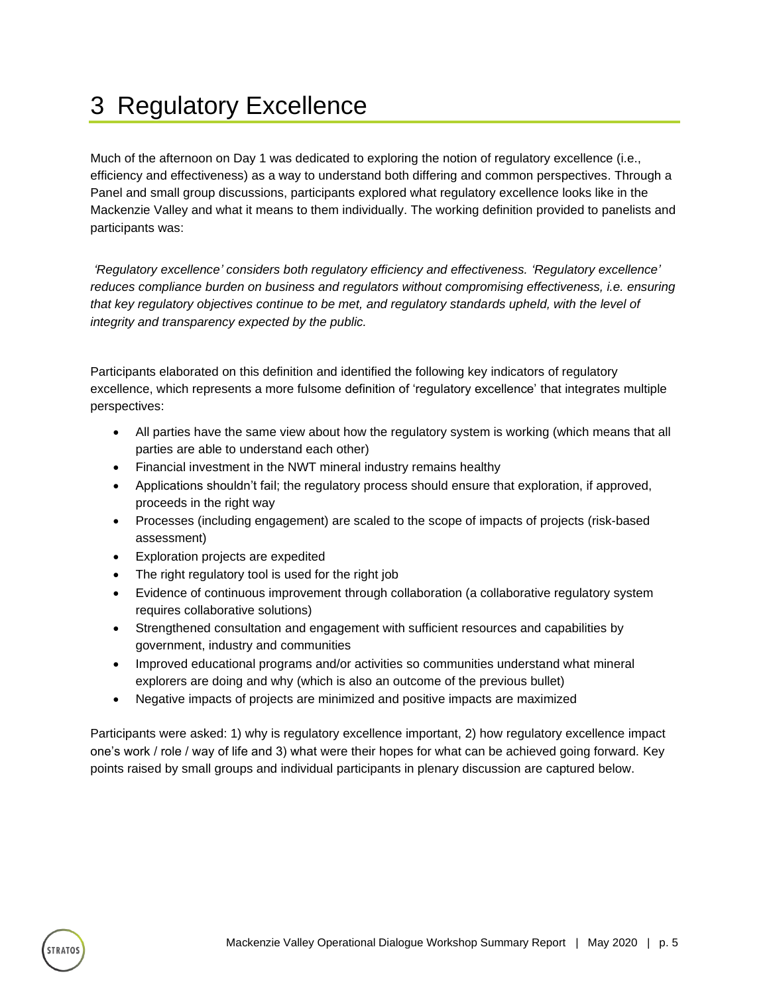## <span id="page-7-0"></span>3 Regulatory Excellence

Much of the afternoon on Day 1 was dedicated to exploring the notion of regulatory excellence (i.e., efficiency and effectiveness) as a way to understand both differing and common perspectives. Through a Panel and small group discussions, participants explored what regulatory excellence looks like in the Mackenzie Valley and what it means to them individually. The working definition provided to panelists and participants was:

*'Regulatory excellence' considers both regulatory efficiency and effectiveness. 'Regulatory excellence' reduces compliance burden on business and regulators without compromising effectiveness, i.e. ensuring that key regulatory objectives continue to be met, and regulatory standards upheld, with the level of integrity and transparency expected by the public.* 

Participants elaborated on this definition and identified the following key indicators of regulatory excellence, which represents a more fulsome definition of 'regulatory excellence' that integrates multiple perspectives:

- All parties have the same view about how the regulatory system is working (which means that all parties are able to understand each other)
- Financial investment in the NWT mineral industry remains healthy
- Applications shouldn't fail; the regulatory process should ensure that exploration, if approved, proceeds in the right way
- Processes (including engagement) are scaled to the scope of impacts of projects (risk-based assessment)
- Exploration projects are expedited
- The right regulatory tool is used for the right job
- Evidence of continuous improvement through collaboration (a collaborative regulatory system requires collaborative solutions)
- Strengthened consultation and engagement with sufficient resources and capabilities by government, industry and communities
- Improved educational programs and/or activities so communities understand what mineral explorers are doing and why (which is also an outcome of the previous bullet)
- Negative impacts of projects are minimized and positive impacts are maximized

Participants were asked: 1) why is regulatory excellence important, 2) how regulatory excellence impact one's work / role / way of life and 3) what were their hopes for what can be achieved going forward. Key points raised by small groups and individual participants in plenary discussion are captured below.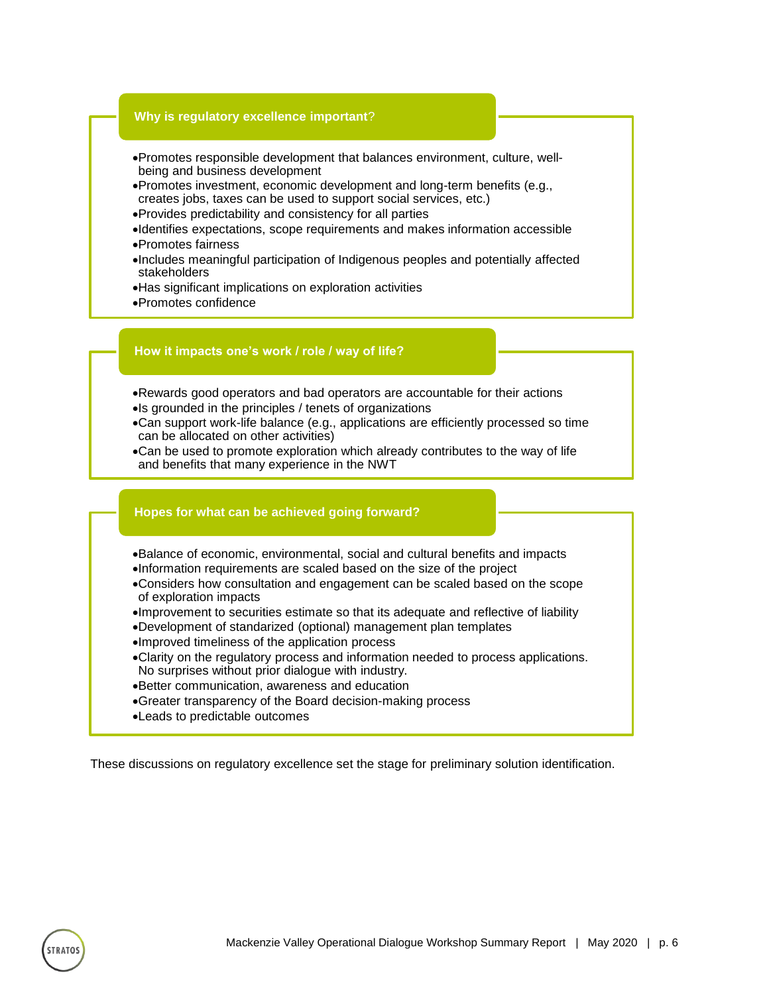

- •Promotes responsible development that balances environment, culture, wellbeing and business development
- •Promotes investment, economic development and long-term benefits (e.g., creates jobs, taxes can be used to support social services, etc.)
- •Provides predictability and consistency for all parties
- •Identifies expectations, scope requirements and makes information accessible •Promotes fairness
- •Includes meaningful participation of Indigenous peoples and potentially affected stakeholders
- •Has significant implications on exploration activities
- •Promotes confidence

#### **How it impacts one's work / role / way of life?**

- •Rewards good operators and bad operators are accountable for their actions •Is grounded in the principles / tenets of organizations
- •Can support work-life balance (e.g., applications are efficiently processed so time can be allocated on other activities)
- •Can be used to promote exploration which already contributes to the way of life and benefits that many experience in the NWT

#### **Hopes for what can be achieved going forward?**

- •Balance of economic, environmental, social and cultural benefits and impacts
- •Information requirements are scaled based on the size of the project
- •Considers how consultation and engagement can be scaled based on the scope of exploration impacts
- •Improvement to securities estimate so that its adequate and reflective of liability
- •Development of standarized (optional) management plan templates
- •Improved timeliness of the application process
- •Clarity on the regulatory process and information needed to process applications. No surprises without prior dialogue with industry.
- •Better communication, awareness and education
- •Greater transparency of the Board decision-making process
- •Leads to predictable outcomes

These discussions on regulatory excellence set the stage for preliminary solution identification.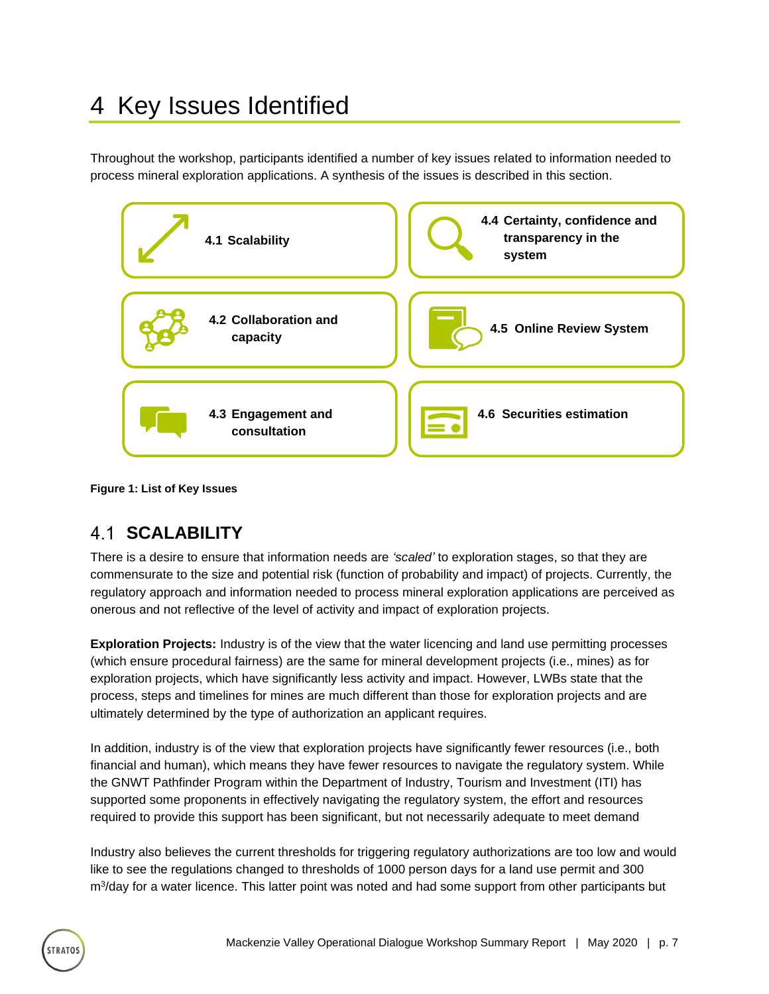## <span id="page-9-0"></span>4 Key Issues Identified

Throughout the workshop, participants identified a number of key issues related to information needed to process mineral exploration applications. A synthesis of the issues is described in this section.



<span id="page-9-2"></span>**Figure 1: List of Key Issues**

### <span id="page-9-1"></span>**4.1 SCALABILITY**

**TRATO** 

There is a desire to ensure that information needs are *'scaled'* to exploration stages, so that they are commensurate to the size and potential risk (function of probability and impact) of projects. Currently, the regulatory approach and information needed to process mineral exploration applications are perceived as onerous and not reflective of the level of activity and impact of exploration projects.

**Exploration Projects:** Industry is of the view that the water licencing and land use permitting processes (which ensure procedural fairness) are the same for mineral development projects (i.e., mines) as for exploration projects, which have significantly less activity and impact. However, LWBs state that the process, steps and timelines for mines are much different than those for exploration projects and are ultimately determined by the type of authorization an applicant requires.

In addition, industry is of the view that exploration projects have significantly fewer resources (i.e., both financial and human), which means they have fewer resources to navigate the regulatory system. While the GNWT Pathfinder Program within the Department of Industry, Tourism and Investment (ITI) has supported some proponents in effectively navigating the regulatory system, the effort and resources required to provide this support has been significant, but not necessarily adequate to meet demand

Industry also believes the current thresholds for triggering regulatory authorizations are too low and would like to see the regulations changed to thresholds of 1000 person days for a land use permit and 300 m<sup>3</sup>/day for a water licence. This latter point was noted and had some support from other participants but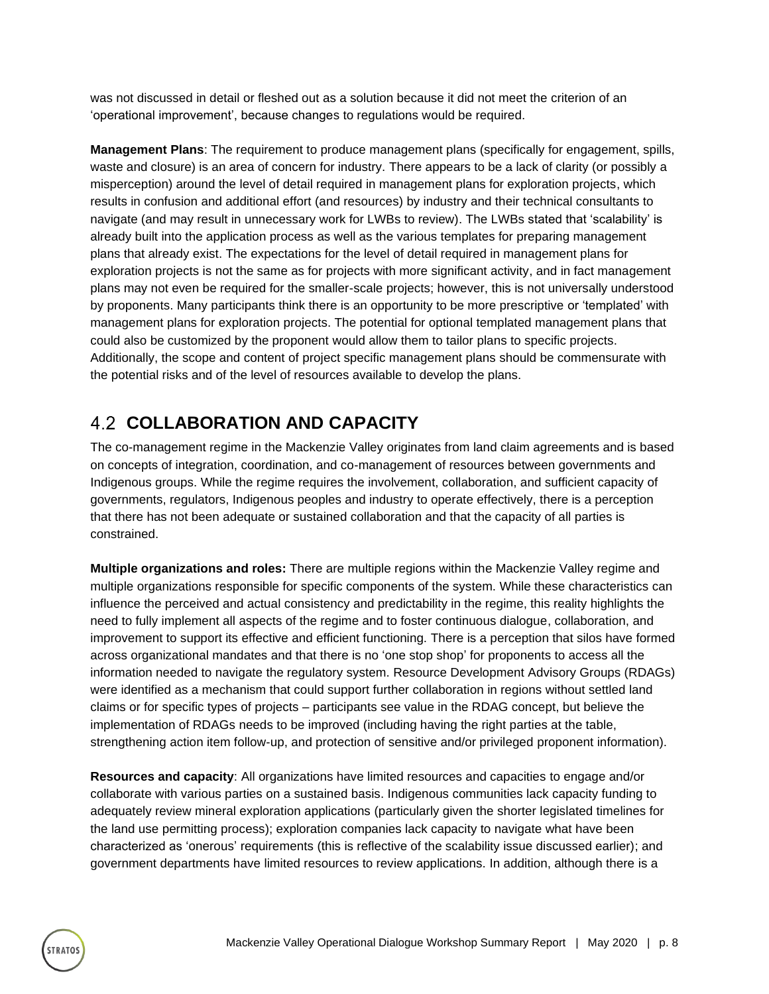was not discussed in detail or fleshed out as a solution because it did not meet the criterion of an 'operational improvement', because changes to regulations would be required.

**Management Plans**: The requirement to produce management plans (specifically for engagement, spills, waste and closure) is an area of concern for industry. There appears to be a lack of clarity (or possibly a misperception) around the level of detail required in management plans for exploration projects, which results in confusion and additional effort (and resources) by industry and their technical consultants to navigate (and may result in unnecessary work for LWBs to review). The LWBs stated that 'scalability' is already built into the application process as well as the various templates for preparing management plans that already exist. The expectations for the level of detail required in management plans for exploration projects is not the same as for projects with more significant activity, and in fact management plans may not even be required for the smaller-scale projects; however, this is not universally understood by proponents. Many participants think there is an opportunity to be more prescriptive or 'templated' with management plans for exploration projects. The potential for optional templated management plans that could also be customized by the proponent would allow them to tailor plans to specific projects. Additionally, the scope and content of project specific management plans should be commensurate with the potential risks and of the level of resources available to develop the plans.

### <span id="page-10-0"></span>**COLLABORATION AND CAPACITY**

**TRATOS** 

The co-management regime in the Mackenzie Valley originates from land claim agreements and is based on concepts of integration, coordination, and co-management of resources between governments and Indigenous groups. While the regime requires the involvement, collaboration, and sufficient capacity of governments, regulators, Indigenous peoples and industry to operate effectively, there is a perception that there has not been adequate or sustained collaboration and that the capacity of all parties is constrained.

**Multiple organizations and roles:** There are multiple regions within the Mackenzie Valley regime and multiple organizations responsible for specific components of the system. While these characteristics can influence the perceived and actual consistency and predictability in the regime, this reality highlights the need to fully implement all aspects of the regime and to foster continuous dialogue, collaboration, and improvement to support its effective and efficient functioning. There is a perception that silos have formed across organizational mandates and that there is no 'one stop shop' for proponents to access all the information needed to navigate the regulatory system. Resource Development Advisory Groups (RDAGs) were identified as a mechanism that could support further collaboration in regions without settled land claims or for specific types of projects – participants see value in the RDAG concept, but believe the implementation of RDAGs needs to be improved (including having the right parties at the table, strengthening action item follow-up, and protection of sensitive and/or privileged proponent information).

**Resources and capacity**: All organizations have limited resources and capacities to engage and/or collaborate with various parties on a sustained basis. Indigenous communities lack capacity funding to adequately review mineral exploration applications (particularly given the shorter legislated timelines for the land use permitting process); exploration companies lack capacity to navigate what have been characterized as 'onerous' requirements (this is reflective of the scalability issue discussed earlier); and government departments have limited resources to review applications. In addition, although there is a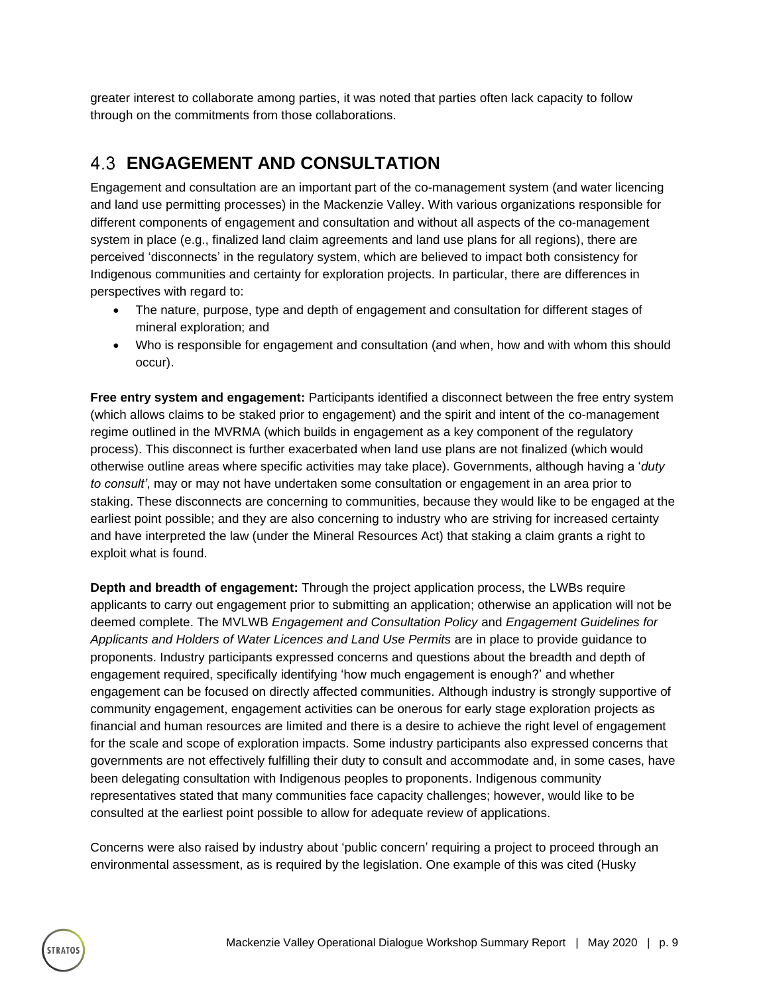greater interest to collaborate among parties, it was noted that parties often lack capacity to follow through on the commitments from those collaborations.

### <span id="page-11-0"></span>**ENGAGEMENT AND CONSULTATION**

Engagement and consultation are an important part of the co-management system (and water licencing and land use permitting processes) in the Mackenzie Valley. With various organizations responsible for different components of engagement and consultation and without all aspects of the co-management system in place (e.g., finalized land claim agreements and land use plans for all regions), there are perceived 'disconnects' in the regulatory system, which are believed to impact both consistency for Indigenous communities and certainty for exploration projects. In particular, there are differences in perspectives with regard to:

- The nature, purpose, type and depth of engagement and consultation for different stages of mineral exploration; and
- Who is responsible for engagement and consultation (and when, how and with whom this should occur).

**Free entry system and engagement:** Participants identified a disconnect between the free entry system (which allows claims to be staked prior to engagement) and the spirit and intent of the co-management regime outlined in the MVRMA (which builds in engagement as a key component of the regulatory process). This disconnect is further exacerbated when land use plans are not finalized (which would otherwise outline areas where specific activities may take place). Governments, although having a '*duty to consult'*, may or may not have undertaken some consultation or engagement in an area prior to staking. These disconnects are concerning to communities, because they would like to be engaged at the earliest point possible; and they are also concerning to industry who are striving for increased certainty and have interpreted the law (under the Mineral Resources Act) that staking a claim grants a right to exploit what is found.

**Depth and breadth of engagement:** Through the project application process, the LWBs require applicants to carry out engagement prior to submitting an application; otherwise an application will not be deemed complete. The MVLWB *Engagement and Consultation Policy* and *Engagement Guidelines for Applicants and Holders of Water Licences and Land Use Permits* are in place to provide guidance to proponents. Industry participants expressed concerns and questions about the breadth and depth of engagement required, specifically identifying 'how much engagement is enough?' and whether engagement can be focused on directly affected communities. Although industry is strongly supportive of community engagement, engagement activities can be onerous for early stage exploration projects as financial and human resources are limited and there is a desire to achieve the right level of engagement for the scale and scope of exploration impacts. Some industry participants also expressed concerns that governments are not effectively fulfilling their duty to consult and accommodate and, in some cases, have been delegating consultation with Indigenous peoples to proponents. Indigenous community representatives stated that many communities face capacity challenges; however, would like to be consulted at the earliest point possible to allow for adequate review of applications.

Concerns were also raised by industry about 'public concern' requiring a project to proceed through an environmental assessment, as is required by the legislation. One example of this was cited (Husky

TRATOS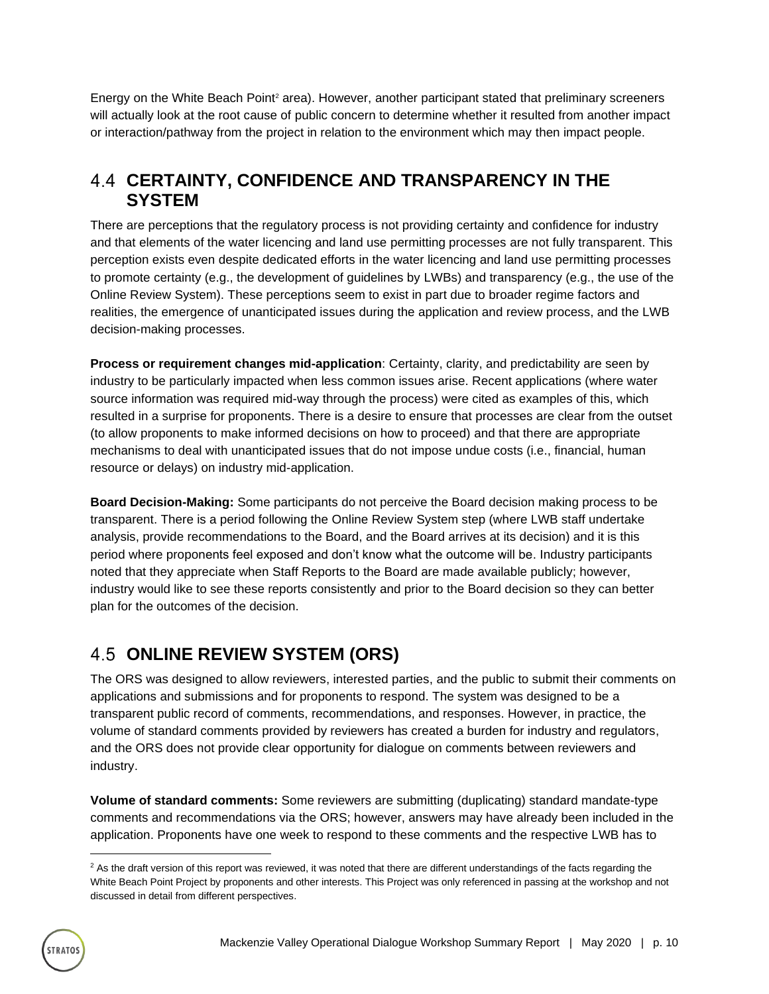Energy on the White Beach Point<sup>2</sup> area). However, another participant stated that preliminary screeners will actually look at the root cause of public concern to determine whether it resulted from another impact or interaction/pathway from the project in relation to the environment which may then impact people.

#### <span id="page-12-0"></span>**CERTAINTY, CONFIDENCE AND TRANSPARENCY IN THE SYSTEM**

There are perceptions that the regulatory process is not providing certainty and confidence for industry and that elements of the water licencing and land use permitting processes are not fully transparent. This perception exists even despite dedicated efforts in the water licencing and land use permitting processes to promote certainty (e.g., the development of guidelines by LWBs) and transparency (e.g., the use of the Online Review System). These perceptions seem to exist in part due to broader regime factors and realities, the emergence of unanticipated issues during the application and review process, and the LWB decision-making processes.

**Process or requirement changes mid-application**: Certainty, clarity, and predictability are seen by industry to be particularly impacted when less common issues arise. Recent applications (where water source information was required mid-way through the process) were cited as examples of this, which resulted in a surprise for proponents. There is a desire to ensure that processes are clear from the outset (to allow proponents to make informed decisions on how to proceed) and that there are appropriate mechanisms to deal with unanticipated issues that do not impose undue costs (i.e., financial, human resource or delays) on industry mid-application.

**Board Decision-Making:** Some participants do not perceive the Board decision making process to be transparent. There is a period following the Online Review System step (where LWB staff undertake analysis, provide recommendations to the Board, and the Board arrives at its decision) and it is this period where proponents feel exposed and don't know what the outcome will be. Industry participants noted that they appreciate when Staff Reports to the Board are made available publicly; however, industry would like to see these reports consistently and prior to the Board decision so they can better plan for the outcomes of the decision.

### <span id="page-12-1"></span>**4.5 ONLINE REVIEW SYSTEM (ORS)**

The ORS was designed to allow reviewers, interested parties, and the public to submit their comments on applications and submissions and for proponents to respond. The system was designed to be a transparent public record of comments, recommendations, and responses. However, in practice, the volume of standard comments provided by reviewers has created a burden for industry and regulators, and the ORS does not provide clear opportunity for dialogue on comments between reviewers and industry.

**Volume of standard comments:** Some reviewers are submitting (duplicating) standard mandate-type comments and recommendations via the ORS; however, answers may have already been included in the application. Proponents have one week to respond to these comments and the respective LWB has to

 $2$  As the draft version of this report was reviewed, it was noted that there are different understandings of the facts regarding the White Beach Point Project by proponents and other interests. This Project was only referenced in passing at the workshop and not discussed in detail from different perspectives.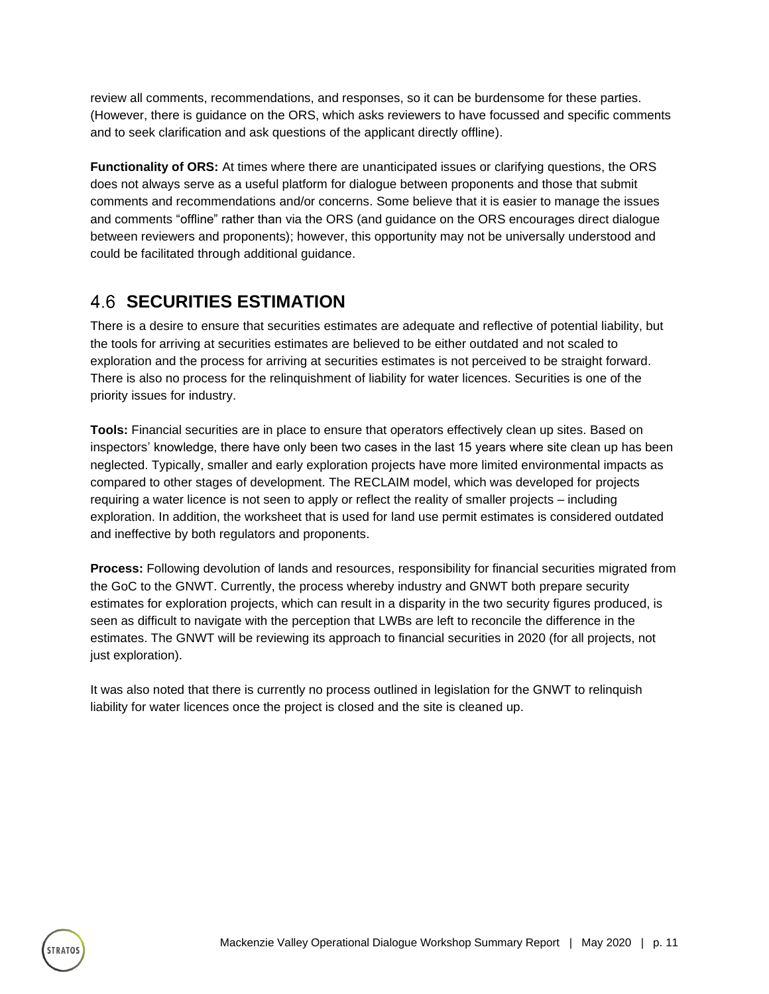review all comments, recommendations, and responses, so it can be burdensome for these parties. (However, there is guidance on the ORS, which asks reviewers to have focussed and specific comments and to seek clarification and ask questions of the applicant directly offline).

**Functionality of ORS:** At times where there are unanticipated issues or clarifying questions, the ORS does not always serve as a useful platform for dialogue between proponents and those that submit comments and recommendations and/or concerns. Some believe that it is easier to manage the issues and comments "offline" rather than via the ORS (and guidance on the ORS encourages direct dialogue between reviewers and proponents); however, this opportunity may not be universally understood and could be facilitated through additional guidance.

### <span id="page-13-0"></span>**4.6 SECURITIES ESTIMATION**

There is a desire to ensure that securities estimates are adequate and reflective of potential liability, but the tools for arriving at securities estimates are believed to be either outdated and not scaled to exploration and the process for arriving at securities estimates is not perceived to be straight forward. There is also no process for the relinquishment of liability for water licences. Securities is one of the priority issues for industry.

**Tools:** Financial securities are in place to ensure that operators effectively clean up sites. Based on inspectors' knowledge, there have only been two cases in the last 15 years where site clean up has been neglected. Typically, smaller and early exploration projects have more limited environmental impacts as compared to other stages of development. The RECLAIM model, which was developed for projects requiring a water licence is not seen to apply or reflect the reality of smaller projects – including exploration. In addition, the worksheet that is used for land use permit estimates is considered outdated and ineffective by both regulators and proponents.

**Process:** Following devolution of lands and resources, responsibility for financial securities migrated from the GoC to the GNWT. Currently, the process whereby industry and GNWT both prepare security estimates for exploration projects, which can result in a disparity in the two security figures produced, is seen as difficult to navigate with the perception that LWBs are left to reconcile the difference in the estimates. The GNWT will be reviewing its approach to financial securities in 2020 (for all projects, not just exploration).

It was also noted that there is currently no process outlined in legislation for the GNWT to relinquish liability for water licences once the project is closed and the site is cleaned up.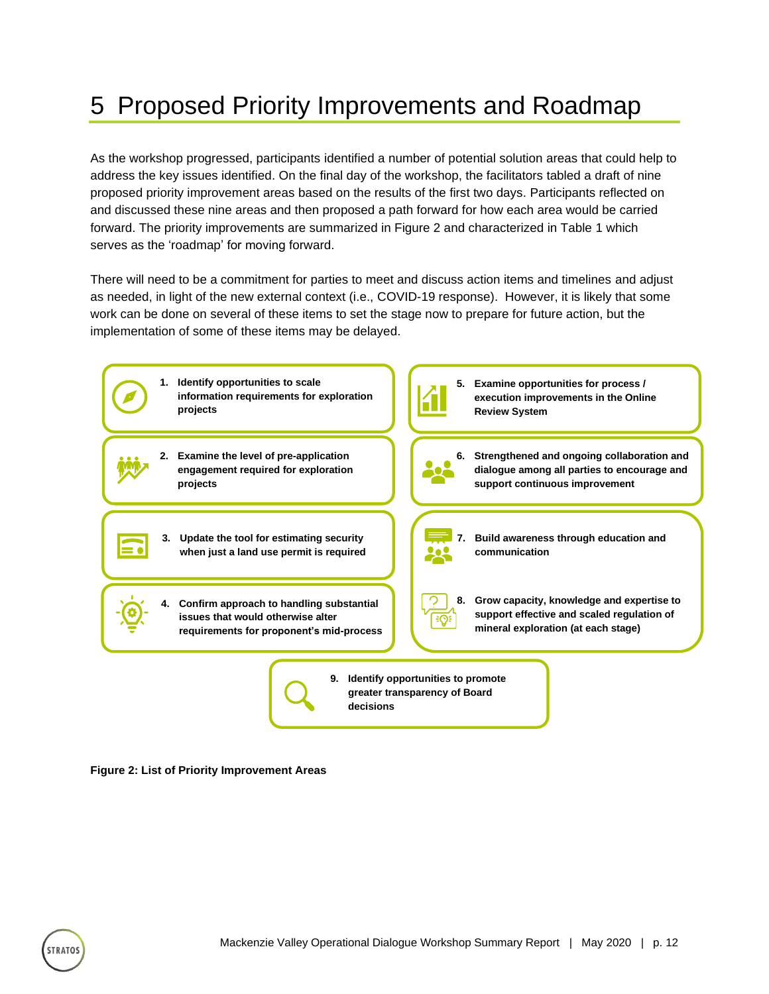## <span id="page-14-0"></span>5 Proposed Priority Improvements and Roadmap

As the workshop progressed, participants identified a number of potential solution areas that could help to address the key issues identified. On the final day of the workshop, the facilitators tabled a draft of nine proposed priority improvement areas based on the results of the first two days. Participants reflected on and discussed these nine areas and then proposed a path forward for how each area would be carried forward. The priority improvements are summarized in Figure 2 and characterized in Table 1 which serves as the 'roadmap' for moving forward.

There will need to be a commitment for parties to meet and discuss action items and timelines and adjust as needed, in light of the new external context (i.e., COVID-19 response). However, it is likely that some work can be done on several of these items to set the stage now to prepare for future action, but the implementation of some of these items may be delayed.



<span id="page-14-1"></span>**Figure 2: List of Priority Improvement Areas**

**TRATO**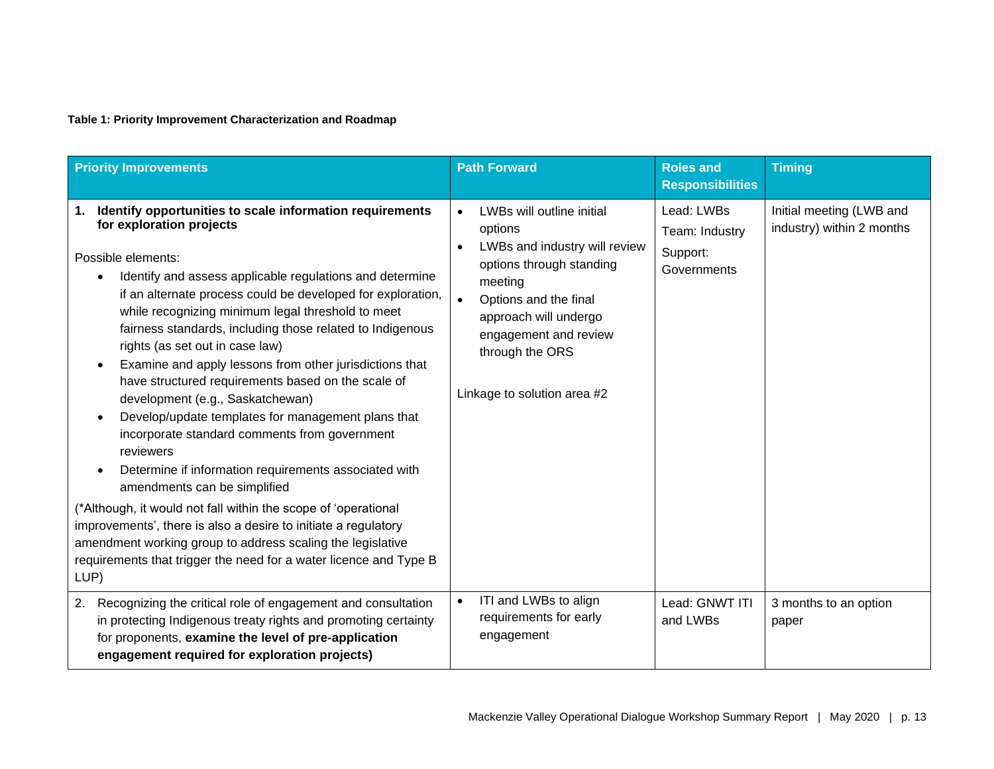#### **Table 1: Priority Improvement Characterization and Roadmap**

<span id="page-15-0"></span>

| <b>Priority Improvements</b>                                                                                                                                                                                                                                                                                                                                                                                                                                                                                                                                                                                                                                                                                                                                                                                                                                                                                                                                                                                                                      | <b>Path Forward</b>                                                                                                                                                                                                                                                              | <b>Roles and</b><br><b>Responsibilities</b>             | <b>Timing</b>                                         |
|---------------------------------------------------------------------------------------------------------------------------------------------------------------------------------------------------------------------------------------------------------------------------------------------------------------------------------------------------------------------------------------------------------------------------------------------------------------------------------------------------------------------------------------------------------------------------------------------------------------------------------------------------------------------------------------------------------------------------------------------------------------------------------------------------------------------------------------------------------------------------------------------------------------------------------------------------------------------------------------------------------------------------------------------------|----------------------------------------------------------------------------------------------------------------------------------------------------------------------------------------------------------------------------------------------------------------------------------|---------------------------------------------------------|-------------------------------------------------------|
| Identify opportunities to scale information requirements<br>1.<br>for exploration projects<br>Possible elements:<br>Identify and assess applicable regulations and determine<br>if an alternate process could be developed for exploration,<br>while recognizing minimum legal threshold to meet<br>fairness standards, including those related to Indigenous<br>rights (as set out in case law)<br>Examine and apply lessons from other jurisdictions that<br>have structured requirements based on the scale of<br>development (e.g., Saskatchewan)<br>Develop/update templates for management plans that<br>incorporate standard comments from government<br>reviewers<br>Determine if information requirements associated with<br>amendments can be simplified<br>(*Although, it would not fall within the scope of 'operational<br>improvements', there is also a desire to initiate a regulatory<br>amendment working group to address scaling the legislative<br>requirements that trigger the need for a water licence and Type B<br>LUP) | LWBs will outline initial<br>$\bullet$<br>options<br>LWBs and industry will review<br>$\bullet$<br>options through standing<br>meeting<br>$\bullet$<br>Options and the final<br>approach will undergo<br>engagement and review<br>through the ORS<br>Linkage to solution area #2 | Lead: LWBs<br>Team: Industry<br>Support:<br>Governments | Initial meeting (LWB and<br>industry) within 2 months |
| Recognizing the critical role of engagement and consultation<br>2.<br>in protecting Indigenous treaty rights and promoting certainty<br>for proponents, examine the level of pre-application<br>engagement required for exploration projects)                                                                                                                                                                                                                                                                                                                                                                                                                                                                                                                                                                                                                                                                                                                                                                                                     | ITI and LWBs to align<br>$\bullet$<br>requirements for early<br>engagement                                                                                                                                                                                                       | Lead: GNWT ITI<br>and LWBs                              | 3 months to an option<br>paper                        |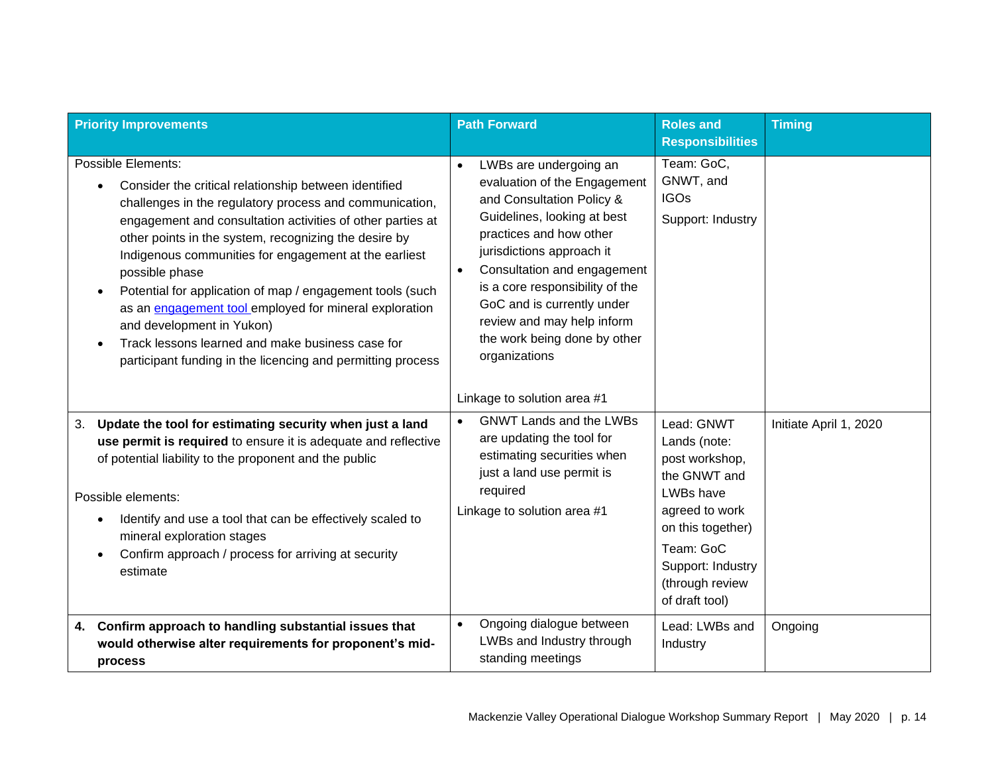| <b>Priority Improvements</b>                                                                                                                                                                                                                                                                                                                                                                                                                                                                                                                                                                                    | <b>Path Forward</b>                                                                                                                                                                                                                                                                                                                                                                                                | <b>Roles and</b><br><b>Responsibilities</b>                                                                                                                                             | <b>Timing</b>          |
|-----------------------------------------------------------------------------------------------------------------------------------------------------------------------------------------------------------------------------------------------------------------------------------------------------------------------------------------------------------------------------------------------------------------------------------------------------------------------------------------------------------------------------------------------------------------------------------------------------------------|--------------------------------------------------------------------------------------------------------------------------------------------------------------------------------------------------------------------------------------------------------------------------------------------------------------------------------------------------------------------------------------------------------------------|-----------------------------------------------------------------------------------------------------------------------------------------------------------------------------------------|------------------------|
| Possible Elements:<br>Consider the critical relationship between identified<br>challenges in the regulatory process and communication,<br>engagement and consultation activities of other parties at<br>other points in the system, recognizing the desire by<br>Indigenous communities for engagement at the earliest<br>possible phase<br>Potential for application of map / engagement tools (such<br>as an engagement tool employed for mineral exploration<br>and development in Yukon)<br>Track lessons learned and make business case for<br>participant funding in the licencing and permitting process | LWBs are undergoing an<br>$\bullet$<br>evaluation of the Engagement<br>and Consultation Policy &<br>Guidelines, looking at best<br>practices and how other<br>jurisdictions approach it<br>Consultation and engagement<br>$\bullet$<br>is a core responsibility of the<br>GoC and is currently under<br>review and may help inform<br>the work being done by other<br>organizations<br>Linkage to solution area #1 | Team: GoC,<br>GNWT, and<br><b>IGOs</b><br>Support: Industry                                                                                                                             |                        |
| Update the tool for estimating security when just a land<br>3.<br>use permit is required to ensure it is adequate and reflective<br>of potential liability to the proponent and the public<br>Possible elements:<br>Identify and use a tool that can be effectively scaled to<br>mineral exploration stages<br>Confirm approach / process for arriving at security<br>estimate                                                                                                                                                                                                                                  | <b>GNWT Lands and the LWBs</b><br>$\bullet$<br>are updating the tool for<br>estimating securities when<br>just a land use permit is<br>required<br>Linkage to solution area #1                                                                                                                                                                                                                                     | Lead: GNWT<br>Lands (note:<br>post workshop,<br>the GNWT and<br>LWBs have<br>agreed to work<br>on this together)<br>Team: GoC<br>Support: Industry<br>(through review<br>of draft tool) | Initiate April 1, 2020 |
| Confirm approach to handling substantial issues that<br>4.<br>would otherwise alter requirements for proponent's mid-<br>process                                                                                                                                                                                                                                                                                                                                                                                                                                                                                | Ongoing dialogue between<br>$\bullet$<br>LWBs and Industry through<br>standing meetings                                                                                                                                                                                                                                                                                                                            | Lead: LWBs and<br>Industry                                                                                                                                                              | Ongoing                |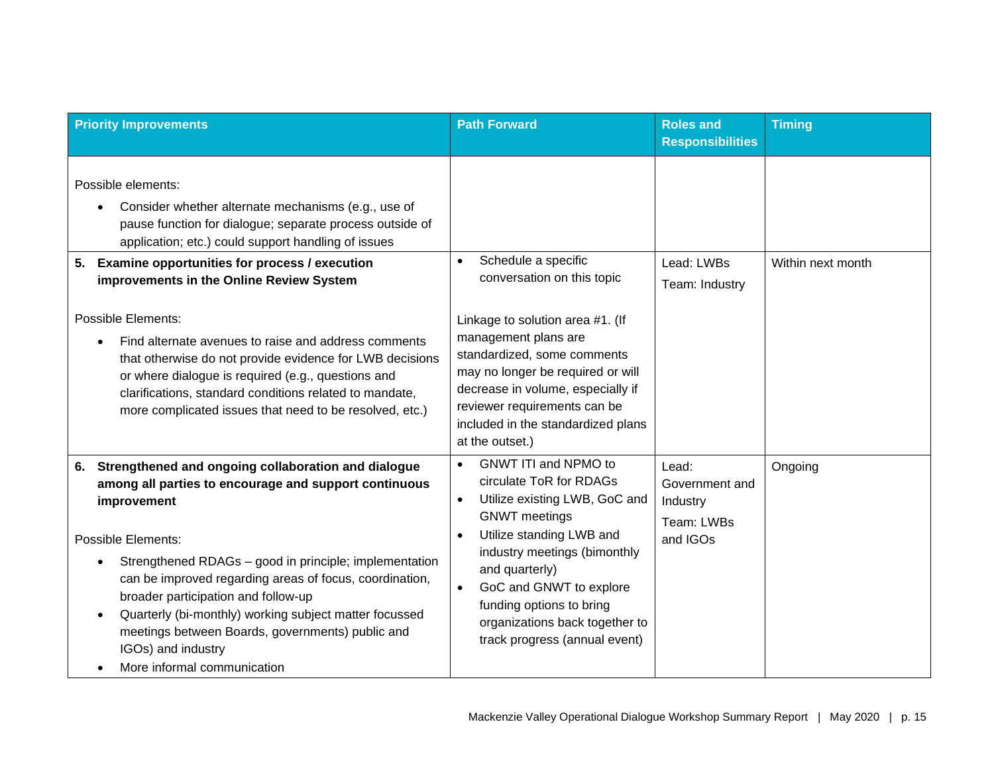| <b>Priority Improvements</b>                                                                                                                                                                                                                                                                                                                                                                                                                                                                                                                                                                                                 | <b>Path Forward</b>                                                                                                                                                                                                                                                                                                                                                  | <b>Roles</b> and<br><b>Responsibilities</b>                   | <b>Timing</b>     |
|------------------------------------------------------------------------------------------------------------------------------------------------------------------------------------------------------------------------------------------------------------------------------------------------------------------------------------------------------------------------------------------------------------------------------------------------------------------------------------------------------------------------------------------------------------------------------------------------------------------------------|----------------------------------------------------------------------------------------------------------------------------------------------------------------------------------------------------------------------------------------------------------------------------------------------------------------------------------------------------------------------|---------------------------------------------------------------|-------------------|
| Possible elements:<br>Consider whether alternate mechanisms (e.g., use of<br>pause function for dialogue; separate process outside of<br>application; etc.) could support handling of issues<br>Examine opportunities for process / execution<br>5.<br>improvements in the Online Review System<br><b>Possible Elements:</b><br>Find alternate avenues to raise and address comments<br>that otherwise do not provide evidence for LWB decisions<br>or where dialogue is required (e.g., questions and<br>clarifications, standard conditions related to mandate,<br>more complicated issues that need to be resolved, etc.) | Schedule a specific<br>$\bullet$<br>conversation on this topic<br>Linkage to solution area #1. (If<br>management plans are<br>standardized, some comments<br>may no longer be required or will<br>decrease in volume, especially if<br>reviewer requirements can be<br>included in the standardized plans<br>at the outset.)                                         | Lead: LWBs<br>Team: Industry                                  | Within next month |
| Strengthened and ongoing collaboration and dialogue<br>6.<br>among all parties to encourage and support continuous<br>improvement<br><b>Possible Elements:</b><br>Strengthened RDAGs - good in principle; implementation<br>can be improved regarding areas of focus, coordination,<br>broader participation and follow-up<br>Quarterly (bi-monthly) working subject matter focussed<br>meetings between Boards, governments) public and<br>IGOs) and industry<br>More informal communication                                                                                                                                | GNWT ITI and NPMO to<br>$\bullet$<br>circulate ToR for RDAGs<br>Utilize existing LWB, GoC and<br>$\bullet$<br><b>GNWT</b> meetings<br>Utilize standing LWB and<br>$\bullet$<br>industry meetings (bimonthly<br>and quarterly)<br>GoC and GNWT to explore<br>$\bullet$<br>funding options to bring<br>organizations back together to<br>track progress (annual event) | Lead:<br>Government and<br>Industry<br>Team: LWBs<br>and IGOs | Ongoing           |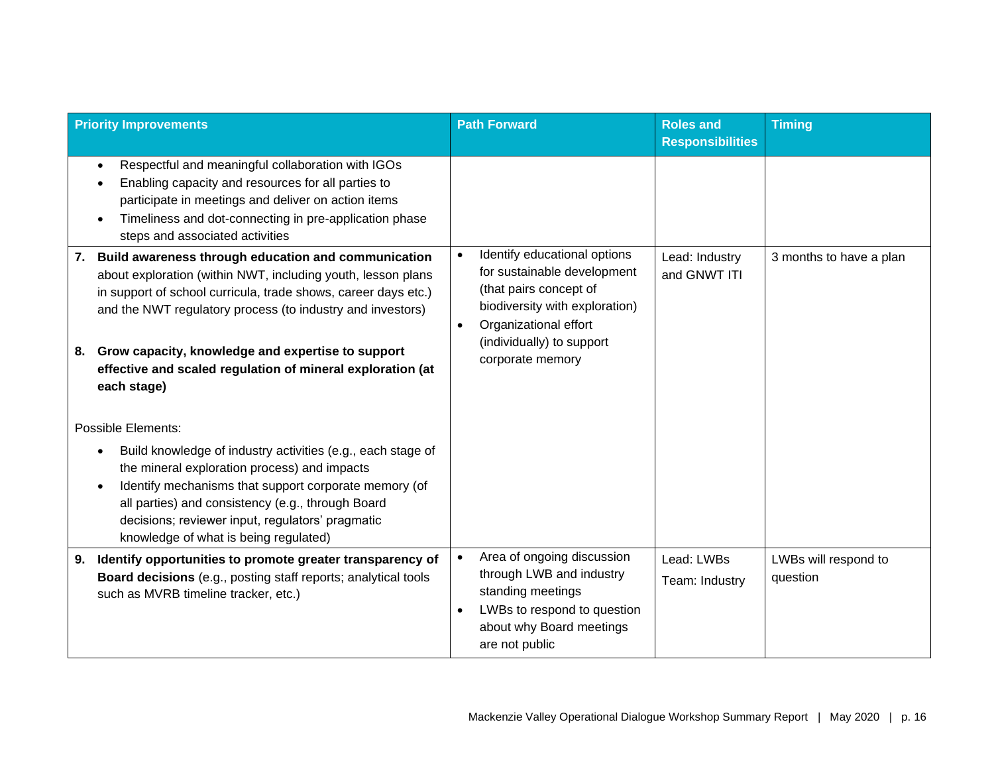| <b>Priority Improvements</b>                                                                                                                                                                                                                                                                                                                                                                      | <b>Path Forward</b>                                                                                                                                                                                                         | <b>Roles and</b><br><b>Responsibilities</b> | <b>Timing</b>                    |
|---------------------------------------------------------------------------------------------------------------------------------------------------------------------------------------------------------------------------------------------------------------------------------------------------------------------------------------------------------------------------------------------------|-----------------------------------------------------------------------------------------------------------------------------------------------------------------------------------------------------------------------------|---------------------------------------------|----------------------------------|
| Respectful and meaningful collaboration with IGOs<br>$\bullet$<br>Enabling capacity and resources for all parties to<br>participate in meetings and deliver on action items<br>Timeliness and dot-connecting in pre-application phase<br>steps and associated activities                                                                                                                          |                                                                                                                                                                                                                             |                                             |                                  |
| Build awareness through education and communication<br>7.<br>about exploration (within NWT, including youth, lesson plans<br>in support of school curricula, trade shows, career days etc.)<br>and the NWT regulatory process (to industry and investors)<br>Grow capacity, knowledge and expertise to support<br>8.<br>effective and scaled regulation of mineral exploration (at<br>each stage) | Identify educational options<br>$\bullet$<br>for sustainable development<br>(that pairs concept of<br>biodiversity with exploration)<br>Organizational effort<br>$\bullet$<br>(individually) to support<br>corporate memory | Lead: Industry<br>and GNWT ITI              | 3 months to have a plan          |
| <b>Possible Elements:</b><br>Build knowledge of industry activities (e.g., each stage of<br>the mineral exploration process) and impacts<br>Identify mechanisms that support corporate memory (of<br>all parties) and consistency (e.g., through Board<br>decisions; reviewer input, regulators' pragmatic<br>knowledge of what is being regulated)                                               |                                                                                                                                                                                                                             |                                             |                                  |
| Identify opportunities to promote greater transparency of<br>9.<br>Board decisions (e.g., posting staff reports; analytical tools<br>such as MVRB timeline tracker, etc.)                                                                                                                                                                                                                         | Area of ongoing discussion<br>$\bullet$<br>through LWB and industry<br>standing meetings<br>LWBs to respond to question<br>about why Board meetings<br>are not public                                                       | Lead: LWBs<br>Team: Industry                | LWBs will respond to<br>question |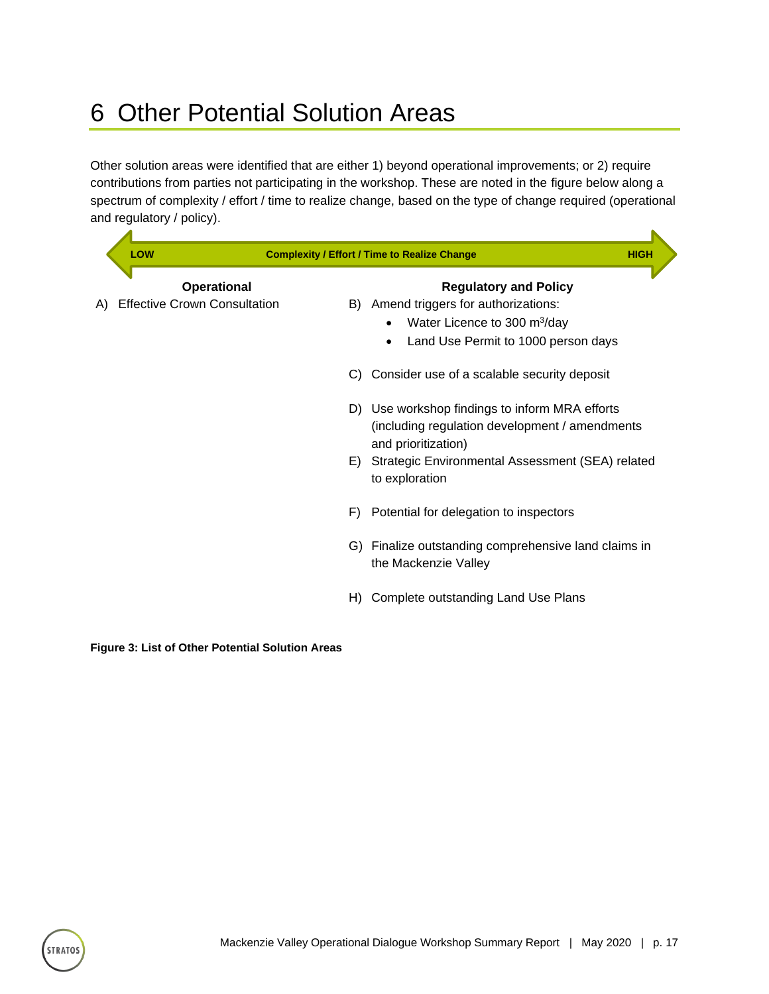## <span id="page-19-0"></span>6 Other Potential Solution Areas

Other solution areas were identified that are either 1) beyond operational improvements; or 2) require contributions from parties not participating in the workshop. These are noted in the figure below along a spectrum of complexity / effort / time to realize change, based on the type of change required (operational and regulatory / policy).

| LOW                                 |                    |    | <b>Complexity / Effort / Time to Realize Change</b>                                              | <b>HIGH</b> |
|-------------------------------------|--------------------|----|--------------------------------------------------------------------------------------------------|-------------|
|                                     | <b>Operational</b> |    | <b>Regulatory and Policy</b>                                                                     |             |
| <b>Effective Crown Consultation</b> |                    |    | B) Amend triggers for authorizations:                                                            |             |
|                                     |                    |    | Water Licence to 300 m <sup>3</sup> /day                                                         |             |
|                                     |                    |    | Land Use Permit to 1000 person days                                                              |             |
|                                     |                    |    | C) Consider use of a scalable security deposit                                                   |             |
|                                     |                    |    | D) Use workshop findings to inform MRA efforts<br>(including regulation development / amendments |             |
|                                     |                    |    | and prioritization)                                                                              |             |
|                                     |                    | E) | Strategic Environmental Assessment (SEA) related<br>to exploration                               |             |
|                                     |                    | F) | Potential for delegation to inspectors                                                           |             |
|                                     |                    |    | G) Finalize outstanding comprehensive land claims in<br>the Mackenzie Valley                     |             |
|                                     |                    | H) | Complete outstanding Land Use Plans                                                              |             |
|                                     |                    |    |                                                                                                  |             |

<span id="page-19-1"></span>**Figure 3: List of Other Potential Solution Areas**

**STRATOS**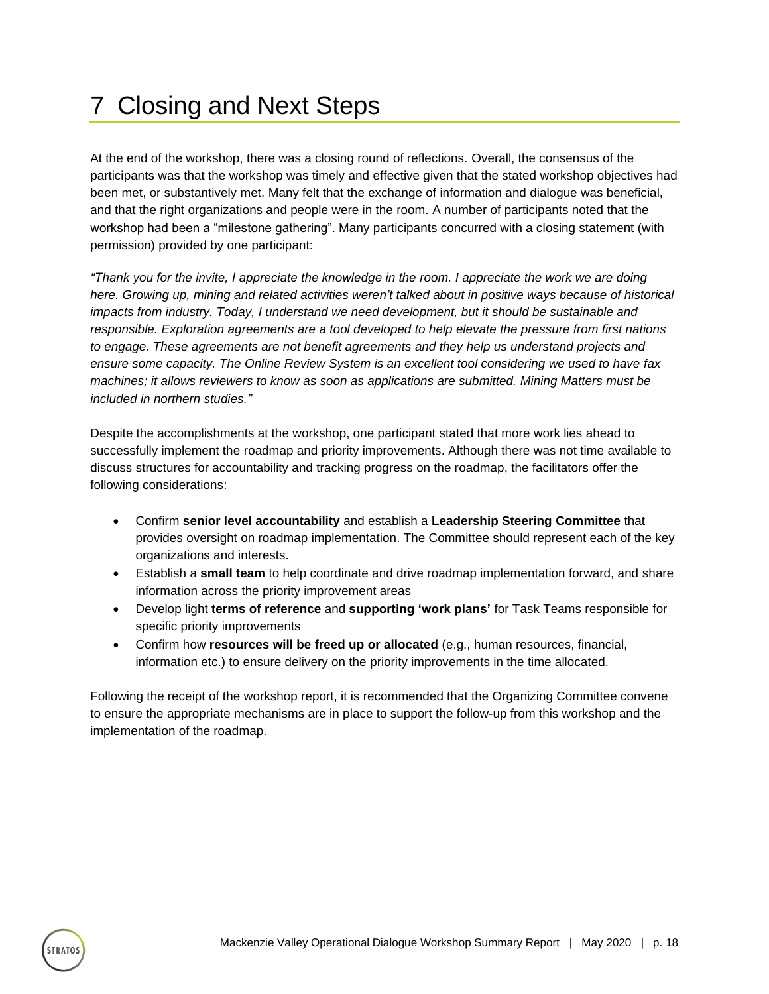## <span id="page-20-0"></span>7 Closing and Next Steps

At the end of the workshop, there was a closing round of reflections. Overall, the consensus of the participants was that the workshop was timely and effective given that the stated workshop objectives had been met, or substantively met. Many felt that the exchange of information and dialogue was beneficial, and that the right organizations and people were in the room. A number of participants noted that the workshop had been a "milestone gathering". Many participants concurred with a closing statement (with permission) provided by one participant:

*"Thank you for the invite, I appreciate the knowledge in the room. I appreciate the work we are doing here. Growing up, mining and related activities weren't talked about in positive ways because of historical impacts from industry. Today, I understand we need development, but it should be sustainable and responsible. Exploration agreements are a tool developed to help elevate the pressure from first nations to engage. These agreements are not benefit agreements and they help us understand projects and ensure some capacity. The Online Review System is an excellent tool considering we used to have fax machines; it allows reviewers to know as soon as applications are submitted. Mining Matters must be included in northern studies."*

Despite the accomplishments at the workshop, one participant stated that more work lies ahead to successfully implement the roadmap and priority improvements. Although there was not time available to discuss structures for accountability and tracking progress on the roadmap, the facilitators offer the following considerations:

- Confirm **senior level accountability** and establish a **Leadership Steering Committee** that provides oversight on roadmap implementation. The Committee should represent each of the key organizations and interests.
- Establish a **small team** to help coordinate and drive roadmap implementation forward, and share information across the priority improvement areas
- Develop light **terms of reference** and **supporting 'work plans'** for Task Teams responsible for specific priority improvements
- Confirm how **resources will be freed up or allocated** (e.g., human resources, financial, information etc.) to ensure delivery on the priority improvements in the time allocated.

Following the receipt of the workshop report, it is recommended that the Organizing Committee convene to ensure the appropriate mechanisms are in place to support the follow-up from this workshop and the implementation of the roadmap.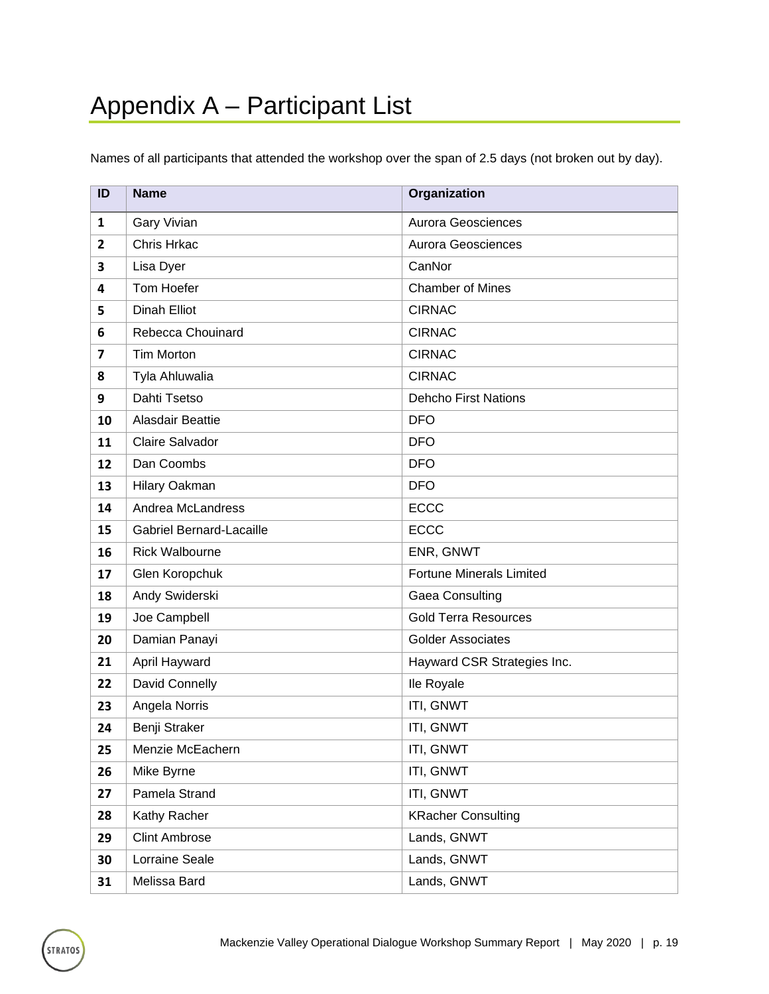<span id="page-21-0"></span>Names of all participants that attended the workshop over the span of 2.5 days (not broken out by day).

| ID             | <b>Name</b>                     | Organization                    |
|----------------|---------------------------------|---------------------------------|
| $\mathbf{1}$   | <b>Gary Vivian</b>              | Aurora Geosciences              |
| $\overline{2}$ | Chris Hrkac                     | Aurora Geosciences              |
| 3              | Lisa Dyer                       | CanNor                          |
| 4              | <b>Tom Hoefer</b>               | <b>Chamber of Mines</b>         |
| 5              | <b>Dinah Elliot</b>             | <b>CIRNAC</b>                   |
| 6              | Rebecca Chouinard               | <b>CIRNAC</b>                   |
| $\overline{7}$ | <b>Tim Morton</b>               | <b>CIRNAC</b>                   |
| 8              | Tyla Ahluwalia                  | <b>CIRNAC</b>                   |
| 9              | Dahti Tsetso                    | <b>Dehcho First Nations</b>     |
| 10             | Alasdair Beattie                | <b>DFO</b>                      |
| 11             | <b>Claire Salvador</b>          | <b>DFO</b>                      |
| 12             | Dan Coombs                      | <b>DFO</b>                      |
| 13             | Hilary Oakman                   | <b>DFO</b>                      |
| 14             | Andrea McLandress               | <b>ECCC</b>                     |
| 15             | <b>Gabriel Bernard-Lacaille</b> | <b>ECCC</b>                     |
| 16             | <b>Rick Walbourne</b>           | ENR, GNWT                       |
| 17             | Glen Koropchuk                  | <b>Fortune Minerals Limited</b> |
| 18             | Andy Swiderski                  | Gaea Consulting                 |
| 19             | Joe Campbell                    | <b>Gold Terra Resources</b>     |
| 20             | Damian Panayi                   | <b>Golder Associates</b>        |
| 21             | April Hayward                   | Hayward CSR Strategies Inc.     |
| 22             | David Connelly                  | Ile Royale                      |
| 23             | Angela Norris                   | ITI, GNWT                       |
| 24             | Benji Straker                   | ITI, GNWT                       |
| 25             | Menzie McEachern                | ITI, GNWT                       |
| 26             | Mike Byrne                      | ITI, GNWT                       |
| 27             | Pamela Strand                   | ITI, GNWT                       |
| 28             | Kathy Racher                    | <b>KRacher Consulting</b>       |
| 29             | <b>Clint Ambrose</b>            | Lands, GNWT                     |
| 30             | Lorraine Seale                  | Lands, GNWT                     |
| 31             | Melissa Bard                    | Lands, GNWT                     |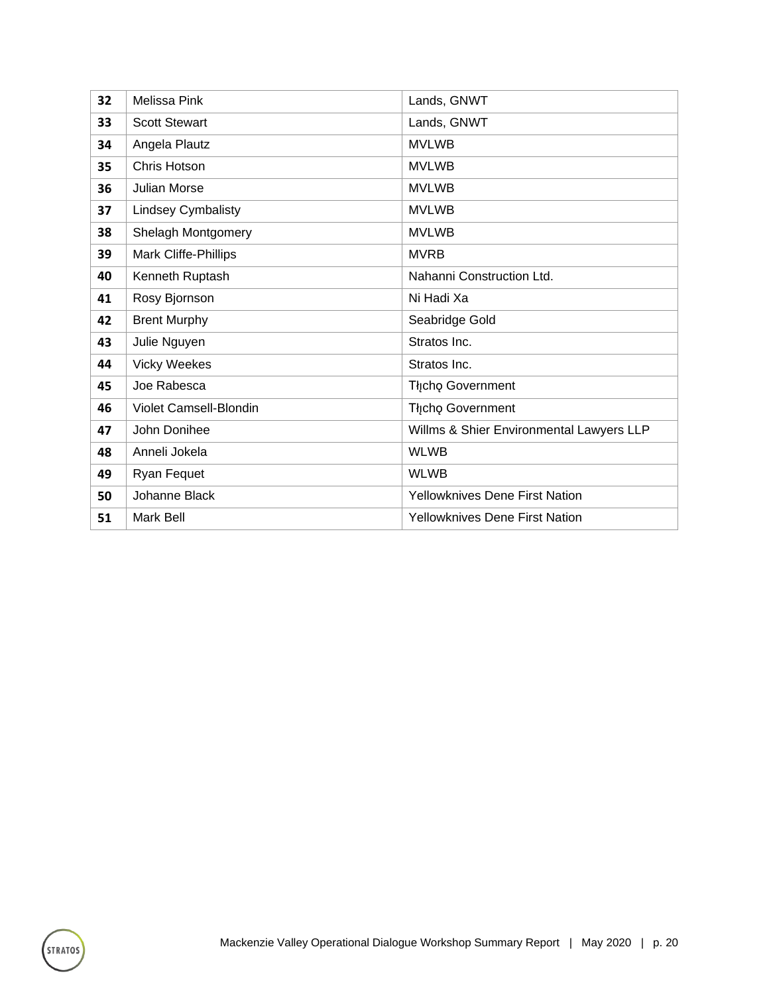| 32 | <b>Melissa Pink</b>       | Lands, GNWT                              |
|----|---------------------------|------------------------------------------|
| 33 | <b>Scott Stewart</b>      | Lands, GNWT                              |
| 34 | Angela Plautz             | <b>MVLWB</b>                             |
| 35 | Chris Hotson              | <b>MVLWB</b>                             |
| 36 | <b>Julian Morse</b>       | <b>MVLWB</b>                             |
| 37 | <b>Lindsey Cymbalisty</b> | <b>MVLWB</b>                             |
| 38 | Shelagh Montgomery        | <b>MVLWB</b>                             |
| 39 | Mark Cliffe-Phillips      | <b>MVRB</b>                              |
| 40 | Kenneth Ruptash           | Nahanni Construction Ltd.                |
| 41 | Rosy Bjornson             | Ni Hadi Xa                               |
| 42 | <b>Brent Murphy</b>       | Seabridge Gold                           |
| 43 | Julie Nguyen              | Stratos Inc.                             |
| 44 | <b>Vicky Weekes</b>       | Stratos Inc.                             |
| 45 | Joe Rabesca               | Tłįcho Government                        |
| 46 | Violet Camsell-Blondin    | Tłįcho Government                        |
| 47 | John Donihee              | Willms & Shier Environmental Lawyers LLP |
| 48 | Anneli Jokela             | <b>WLWB</b>                              |
| 49 | Ryan Fequet               | <b>WLWB</b>                              |
| 50 | Johanne Black             | Yellowknives Dene First Nation           |
| 51 | Mark Bell                 | <b>Yellowknives Dene First Nation</b>    |

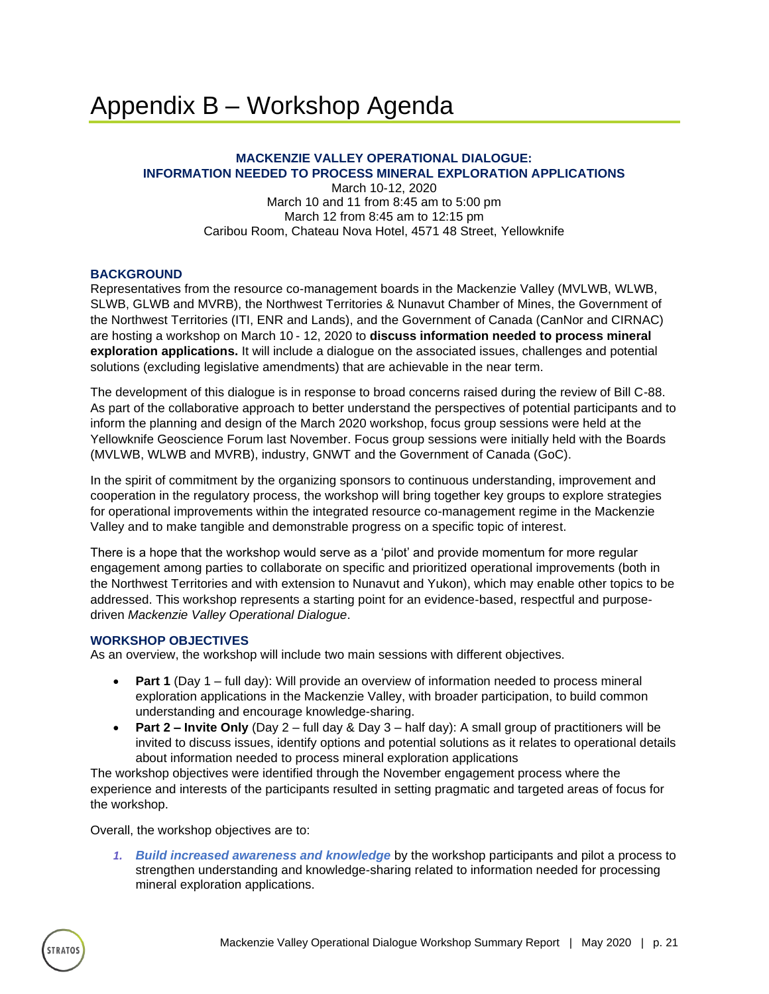#### <span id="page-23-0"></span>**MACKENZIE VALLEY OPERATIONAL DIALOGUE: INFORMATION NEEDED TO PROCESS MINERAL EXPLORATION APPLICATIONS**

March 10-12, 2020 March 10 and 11 from 8:45 am to 5:00 pm March 12 from 8:45 am to 12:15 pm Caribou Room, Chateau Nova Hotel, 4571 48 Street, Yellowknife

#### **BACKGROUND**

Representatives from the resource co-management boards in the Mackenzie Valley (MVLWB, WLWB, SLWB, GLWB and MVRB), the Northwest Territories & Nunavut Chamber of Mines, the Government of the Northwest Territories (ITI, ENR and Lands), and the Government of Canada (CanNor and CIRNAC) are hosting a workshop on March 10 - 12, 2020 to **discuss information needed to process mineral exploration applications.** It will include a dialogue on the associated issues, challenges and potential solutions (excluding legislative amendments) that are achievable in the near term.

The development of this dialogue is in response to broad concerns raised during the review of Bill C-88. As part of the collaborative approach to better understand the perspectives of potential participants and to inform the planning and design of the March 2020 workshop, focus group sessions were held at the Yellowknife Geoscience Forum last November. Focus group sessions were initially held with the Boards (MVLWB, WLWB and MVRB), industry, GNWT and the Government of Canada (GoC).

In the spirit of commitment by the organizing sponsors to continuous understanding, improvement and cooperation in the regulatory process, the workshop will bring together key groups to explore strategies for operational improvements within the integrated resource co-management regime in the Mackenzie Valley and to make tangible and demonstrable progress on a specific topic of interest.

There is a hope that the workshop would serve as a 'pilot' and provide momentum for more regular engagement among parties to collaborate on specific and prioritized operational improvements (both in the Northwest Territories and with extension to Nunavut and Yukon), which may enable other topics to be addressed. This workshop represents a starting point for an evidence-based, respectful and purposedriven *Mackenzie Valley Operational Dialogue*.

#### **WORKSHOP OBJECTIVES**

As an overview, the workshop will include two main sessions with different objectives.

- **Part 1** (Day 1 full day): Will provide an overview of information needed to process mineral exploration applications in the Mackenzie Valley, with broader participation, to build common understanding and encourage knowledge-sharing.
- **Part 2 – Invite Only** (Day 2 full day & Day 3 half day): A small group of practitioners will be invited to discuss issues, identify options and potential solutions as it relates to operational details about information needed to process mineral exploration applications

The workshop objectives were identified through the November engagement process where the experience and interests of the participants resulted in setting pragmatic and targeted areas of focus for the workshop.

Overall, the workshop objectives are to:

*1. Build increased awareness and knowledge* by the workshop participants and pilot a process to strengthen understanding and knowledge-sharing related to information needed for processing mineral exploration applications.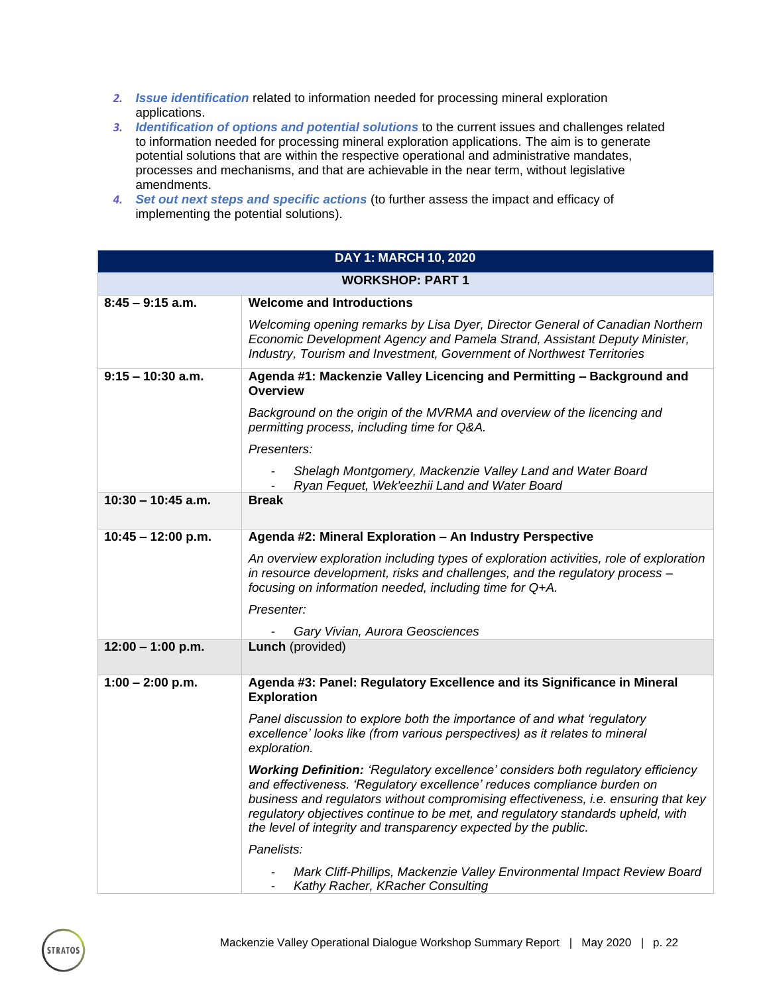- *2. Issue identification* related to information needed for processing mineral exploration applications.
- *3. Identification of options and potential solutions* to the current issues and challenges related to information needed for processing mineral exploration applications. The aim is to generate potential solutions that are within the respective operational and administrative mandates, processes and mechanisms, and that are achievable in the near term, without legislative amendments.
- *4. Set out next steps and specific actions* (to further assess the impact and efficacy of implementing the potential solutions).

| DAY 1: MARCH 10, 2020   |                                                                                                                                                                                                                                                                                                                                                                                                         |  |  |
|-------------------------|---------------------------------------------------------------------------------------------------------------------------------------------------------------------------------------------------------------------------------------------------------------------------------------------------------------------------------------------------------------------------------------------------------|--|--|
| <b>WORKSHOP: PART 1</b> |                                                                                                                                                                                                                                                                                                                                                                                                         |  |  |
| $8:45 - 9:15$ a.m.      | <b>Welcome and Introductions</b>                                                                                                                                                                                                                                                                                                                                                                        |  |  |
|                         | Welcoming opening remarks by Lisa Dyer, Director General of Canadian Northern<br>Economic Development Agency and Pamela Strand, Assistant Deputy Minister,<br>Industry, Tourism and Investment, Government of Northwest Territories                                                                                                                                                                     |  |  |
| $9:15 - 10:30$ a.m.     | Agenda #1: Mackenzie Valley Licencing and Permitting - Background and<br><b>Overview</b>                                                                                                                                                                                                                                                                                                                |  |  |
|                         | Background on the origin of the MVRMA and overview of the licencing and<br>permitting process, including time for Q&A.                                                                                                                                                                                                                                                                                  |  |  |
|                         | Presenters:                                                                                                                                                                                                                                                                                                                                                                                             |  |  |
|                         | Shelagh Montgomery, Mackenzie Valley Land and Water Board<br>Ryan Fequet, Wek'eezhii Land and Water Board                                                                                                                                                                                                                                                                                               |  |  |
| $10:30 - 10:45$ a.m.    | <b>Break</b>                                                                                                                                                                                                                                                                                                                                                                                            |  |  |
| $10:45 - 12:00 p.m.$    | Agenda #2: Mineral Exploration - An Industry Perspective                                                                                                                                                                                                                                                                                                                                                |  |  |
|                         | An overview exploration including types of exploration activities, role of exploration<br>in resource development, risks and challenges, and the regulatory process -<br>focusing on information needed, including time for Q+A.                                                                                                                                                                        |  |  |
|                         | Presenter:                                                                                                                                                                                                                                                                                                                                                                                              |  |  |
|                         | Gary Vivian, Aurora Geosciences                                                                                                                                                                                                                                                                                                                                                                         |  |  |
| $12:00 - 1:00$ p.m.     | <b>Lunch</b> (provided)                                                                                                                                                                                                                                                                                                                                                                                 |  |  |
| $1:00 - 2:00$ p.m.      | Agenda #3: Panel: Regulatory Excellence and its Significance in Mineral<br><b>Exploration</b>                                                                                                                                                                                                                                                                                                           |  |  |
|                         | Panel discussion to explore both the importance of and what 'regulatory<br>excellence' looks like (from various perspectives) as it relates to mineral<br>exploration.                                                                                                                                                                                                                                  |  |  |
|                         | Working Definition: 'Regulatory excellence' considers both regulatory efficiency<br>and effectiveness. 'Regulatory excellence' reduces compliance burden on<br>business and regulators without compromising effectiveness, i.e. ensuring that key<br>regulatory objectives continue to be met, and regulatory standards upheld, with<br>the level of integrity and transparency expected by the public. |  |  |
|                         | Panelists:                                                                                                                                                                                                                                                                                                                                                                                              |  |  |
|                         | Mark Cliff-Phillips, Mackenzie Valley Environmental Impact Review Board<br>Kathy Racher, KRacher Consulting                                                                                                                                                                                                                                                                                             |  |  |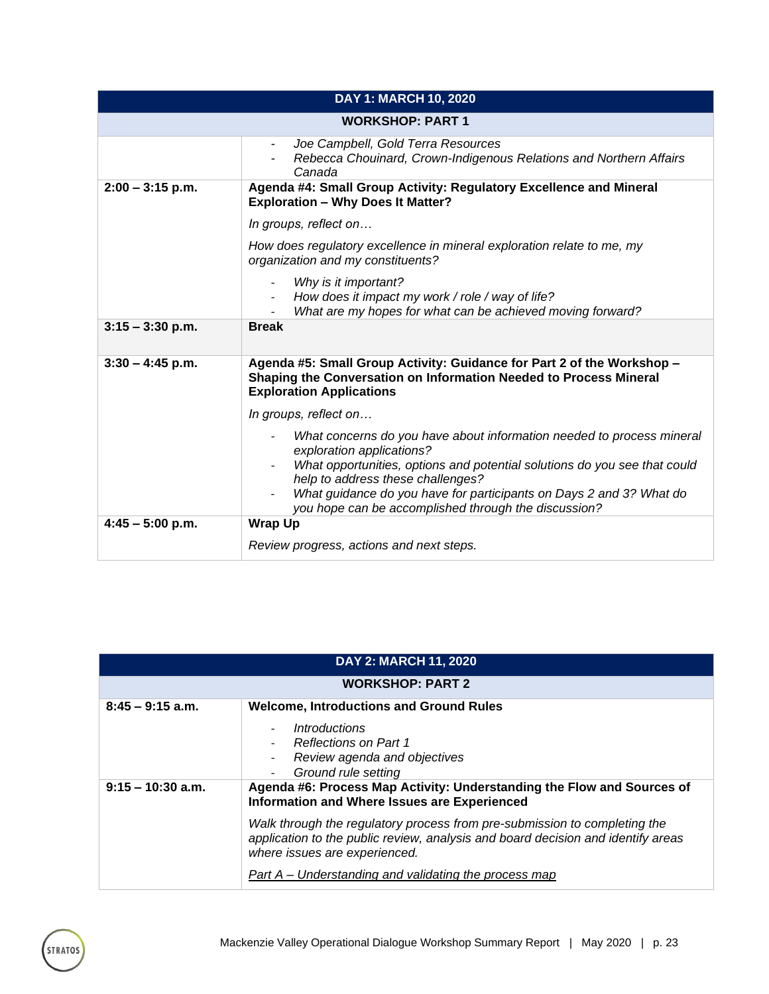| DAY 1: MARCH 10, 2020   |                                                                                                                                                                                |  |  |
|-------------------------|--------------------------------------------------------------------------------------------------------------------------------------------------------------------------------|--|--|
| <b>WORKSHOP: PART 1</b> |                                                                                                                                                                                |  |  |
|                         | Joe Campbell, Gold Terra Resources<br>$\blacksquare$<br>Rebecca Chouinard, Crown-Indigenous Relations and Northern Affairs<br>Canada                                           |  |  |
| $2:00 - 3:15$ p.m.      | Agenda #4: Small Group Activity: Regulatory Excellence and Mineral<br><b>Exploration - Why Does It Matter?</b>                                                                 |  |  |
|                         | In groups, reflect on                                                                                                                                                          |  |  |
|                         | How does regulatory excellence in mineral exploration relate to me, my<br>organization and my constituents?                                                                    |  |  |
|                         | Why is it important?<br>$\overline{\phantom{a}}$                                                                                                                               |  |  |
|                         | How does it impact my work / role / way of life?<br>What are my hopes for what can be achieved moving forward?                                                                 |  |  |
| $3:15 - 3:30$ p.m.      | <b>Break</b>                                                                                                                                                                   |  |  |
| $3:30 - 4:45$ p.m.      | Agenda #5: Small Group Activity: Guidance for Part 2 of the Workshop -<br>Shaping the Conversation on Information Needed to Process Mineral<br><b>Exploration Applications</b> |  |  |
|                         | In groups, reflect on                                                                                                                                                          |  |  |
|                         | What concerns do you have about information needed to process mineral<br>$\overline{\phantom{a}}$<br>exploration applications?                                                 |  |  |
|                         | What opportunities, options and potential solutions do you see that could<br>help to address these challenges?                                                                 |  |  |
|                         | What guidance do you have for participants on Days 2 and 3? What do<br>you hope can be accomplished through the discussion?                                                    |  |  |
| $4:45 - 5:00$ p.m.      | <b>Wrap Up</b>                                                                                                                                                                 |  |  |
|                         | Review progress, actions and next steps.                                                                                                                                       |  |  |

| <b>DAY 2: MARCH 11, 2020</b>                                                                                                                                                                                    |                                                                                                                                                                                                                                                                                                                                                                                   |  |  |  |  |
|-----------------------------------------------------------------------------------------------------------------------------------------------------------------------------------------------------------------|-----------------------------------------------------------------------------------------------------------------------------------------------------------------------------------------------------------------------------------------------------------------------------------------------------------------------------------------------------------------------------------|--|--|--|--|
|                                                                                                                                                                                                                 | <b>WORKSHOP: PART 2</b>                                                                                                                                                                                                                                                                                                                                                           |  |  |  |  |
| $8:45 - 9:15$ a.m.<br><b>Welcome, Introductions and Ground Rules</b><br><i>Introductions</i><br><b>Reflections on Part 1</b><br>Review agenda and objectives<br>$\overline{\phantom{a}}$<br>Ground rule setting |                                                                                                                                                                                                                                                                                                                                                                                   |  |  |  |  |
| $9:15 - 10:30$ a.m.                                                                                                                                                                                             | Agenda #6: Process Map Activity: Understanding the Flow and Sources of<br>Information and Where Issues are Experienced<br>Walk through the regulatory process from pre-submission to completing the<br>application to the public review, analysis and board decision and identify areas<br>where issues are experienced.<br>Part A – Understanding and validating the process map |  |  |  |  |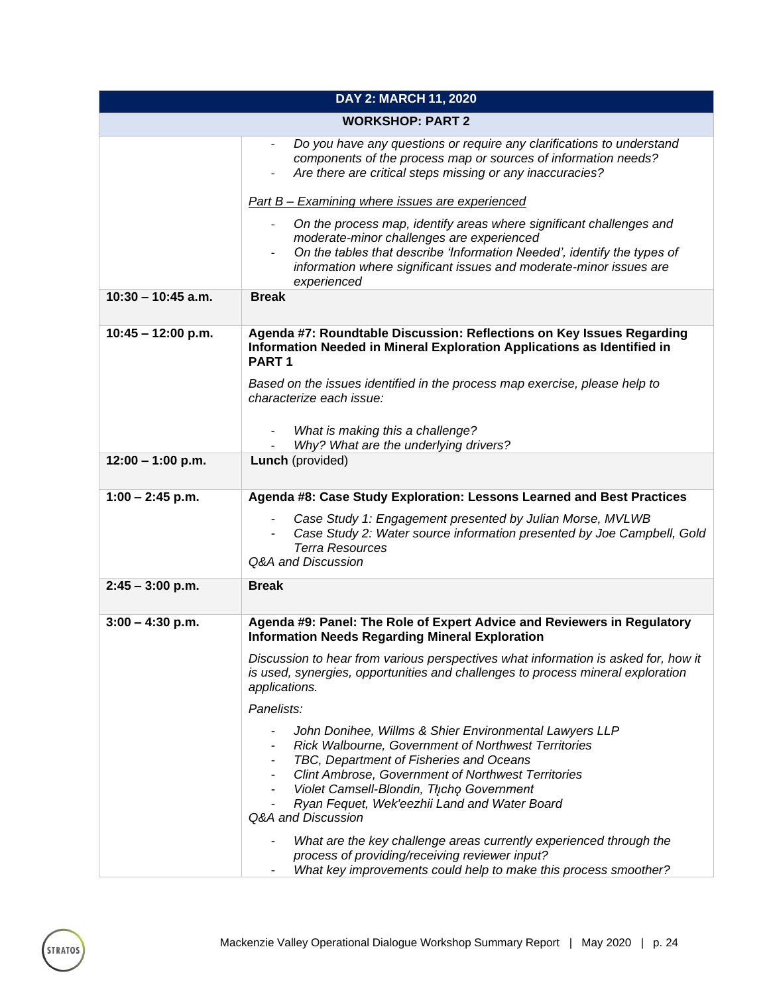| DAY 2: MARCH 11, 2020   |                                                                                                                                                                                                                                                                                                                                                                                            |  |
|-------------------------|--------------------------------------------------------------------------------------------------------------------------------------------------------------------------------------------------------------------------------------------------------------------------------------------------------------------------------------------------------------------------------------------|--|
| <b>WORKSHOP: PART 2</b> |                                                                                                                                                                                                                                                                                                                                                                                            |  |
|                         | Do you have any questions or require any clarifications to understand<br>components of the process map or sources of information needs?<br>Are there are critical steps missing or any inaccuracies?                                                                                                                                                                                       |  |
|                         | Part B - Examining where issues are experienced                                                                                                                                                                                                                                                                                                                                            |  |
|                         | On the process map, identify areas where significant challenges and<br>$\blacksquare$<br>moderate-minor challenges are experienced<br>On the tables that describe 'Information Needed', identify the types of<br>information where significant issues and moderate-minor issues are<br>experienced                                                                                         |  |
| $10:30 - 10:45$ a.m.    | <b>Break</b>                                                                                                                                                                                                                                                                                                                                                                               |  |
| $10:45 - 12:00$ p.m.    | Agenda #7: Roundtable Discussion: Reflections on Key Issues Regarding<br>Information Needed in Mineral Exploration Applications as Identified in<br>PART <sub>1</sub><br>Based on the issues identified in the process map exercise, please help to<br>characterize each issue:                                                                                                            |  |
|                         | What is making this a challenge?<br>Why? What are the underlying drivers?                                                                                                                                                                                                                                                                                                                  |  |
| $12:00 - 1:00$ p.m.     | Lunch (provided)                                                                                                                                                                                                                                                                                                                                                                           |  |
| $1:00 - 2:45$ p.m.      | Agenda #8: Case Study Exploration: Lessons Learned and Best Practices<br>Case Study 1: Engagement presented by Julian Morse, MVLWB<br>Case Study 2: Water source information presented by Joe Campbell, Gold<br>$\blacksquare$<br><b>Terra Resources</b><br>Q&A and Discussion                                                                                                             |  |
| $2:45 - 3:00$ p.m.      | <b>Break</b>                                                                                                                                                                                                                                                                                                                                                                               |  |
| $3:00 - 4:30$ p.m.      | Agenda #9: Panel: The Role of Expert Advice and Reviewers in Regulatory<br><b>Information Needs Regarding Mineral Exploration</b>                                                                                                                                                                                                                                                          |  |
|                         | Discussion to hear from various perspectives what information is asked for, how it<br>is used, synergies, opportunities and challenges to process mineral exploration<br>applications.                                                                                                                                                                                                     |  |
|                         | Panelists:                                                                                                                                                                                                                                                                                                                                                                                 |  |
|                         | John Donihee, Willms & Shier Environmental Lawyers LLP<br>Rick Walbourne, Government of Northwest Territories<br>TBC, Department of Fisheries and Oceans<br>-<br><b>Clint Ambrose, Government of Northwest Territories</b><br>$\blacksquare$<br>Violet Camsell-Blondin, Thcho Government<br>$\overline{\phantom{a}}$<br>Ryan Fequet, Wek'eezhii Land and Water Board<br>Q&A and Discussion |  |
|                         | What are the key challenge areas currently experienced through the<br>process of providing/receiving reviewer input?<br>What key improvements could help to make this process smoother?                                                                                                                                                                                                    |  |